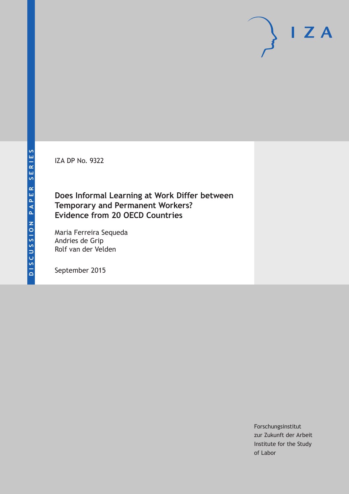IZA DP No. 9322

## **Does Informal Learning at Work Differ between Temporary and Permanent Workers? Evidence from 20 OECD Countries**

Maria Ferreira Sequeda Andries de Grip Rolf van der Velden

September 2015

Forschungsinstitut zur Zukunft der Arbeit Institute for the Study of Labor

 $I Z A$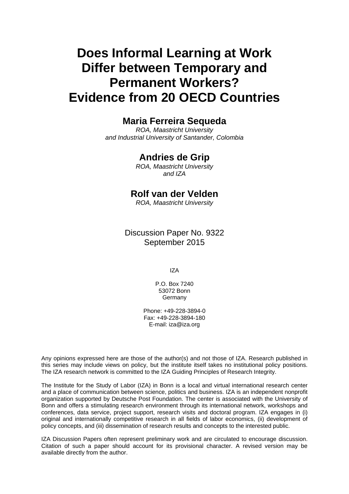# **Does Informal Learning at Work Differ between Temporary and Permanent Workers? Evidence from 20 OECD Countries**

## **Maria Ferreira Sequeda**

*ROA, Maastricht University and Industrial University of Santander, Colombia* 

### **Andries de Grip**

*ROA, Maastricht University and IZA* 

## **Rolf van der Velden**

*ROA, Maastricht University*

Discussion Paper No. 9322 September 2015

IZA

P.O. Box 7240 53072 Bonn Germany

Phone: +49-228-3894-0 Fax: +49-228-3894-180 E-mail: iza@iza.org

Any opinions expressed here are those of the author(s) and not those of IZA. Research published in this series may include views on policy, but the institute itself takes no institutional policy positions. The IZA research network is committed to the IZA Guiding Principles of Research Integrity.

The Institute for the Study of Labor (IZA) in Bonn is a local and virtual international research center and a place of communication between science, politics and business. IZA is an independent nonprofit organization supported by Deutsche Post Foundation. The center is associated with the University of Bonn and offers a stimulating research environment through its international network, workshops and conferences, data service, project support, research visits and doctoral program. IZA engages in (i) original and internationally competitive research in all fields of labor economics, (ii) development of policy concepts, and (iii) dissemination of research results and concepts to the interested public.

IZA Discussion Papers often represent preliminary work and are circulated to encourage discussion. Citation of such a paper should account for its provisional character. A revised version may be available directly from the author.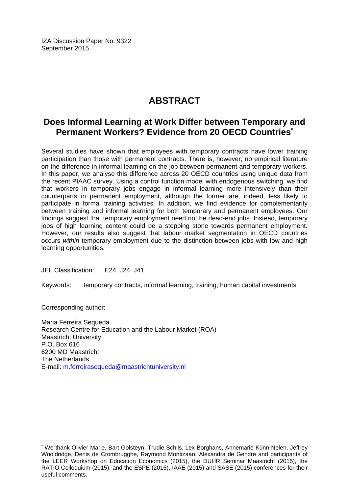IZA Discussion Paper No. 9322 September 2015

## **ABSTRACT**

## **Does Informal Learning at Work Differ between Temporary and Permanent Workers? Evidence from 20 OECD Countries\***

Several studies have shown that employees with temporary contracts have lower training participation than those with permanent contracts. There is, however, no empirical literature on the difference in informal learning on the job between permanent and temporary workers. In this paper, we analyse this difference across 20 OECD countries using unique data from the recent PIAAC survey. Using a control function model with endogenous switching, we find that workers in temporary jobs engage in informal learning more intensively than their counterparts in permanent employment, although the former are, indeed, less likely to participate in formal training activities. In addition, we find evidence for complementarity between training and informal learning for both temporary and permanent employees. Our findings suggest that temporary employment need not be dead-end jobs. Instead, temporary jobs of high learning content could be a stepping stone towards permanent employment. However, our results also suggest that labour market segmentation in OECD countries occurs *within* temporary employment due to the distinction between jobs with low and high learning opportunities.

JEL Classification: E24, J24, J41

Keywords: temporary contracts, informal learning, training, human capital investments

Corresponding author:

 $\overline{a}$ 

Maria Ferreira Sequeda Research Centre for Education and the Labour Market (ROA) Maastricht University P.O. Box 616 6200 MD Maastricht The Netherlands E-mail: m.ferreirasequeda@maastrichtuniversity.nl

<sup>\*</sup> We thank Olivier Marie, Bart Golsteyn, Trudie Schils, Lex Borghans, Annemarie Künn-Nelen, Jeffrey Wooldridge, Denis de Crombrugghe, Raymond Montizaan, Alexandra de Gendre and participants of the LEER Workshop on Education Economics (2015), the DUHR Seminar Maastricht (2015), the RATIO Colloquium (2015), and the ESPE (2015), IAAE (2015) and SASE (2015) conferences for their useful comments.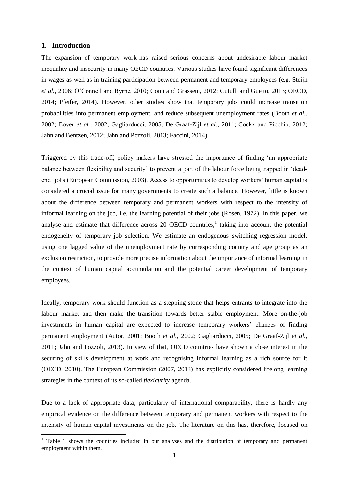#### **1. Introduction**

**.** 

The expansion of temporary work has raised serious concerns about undesirable labour market inequality and insecurity in many OECD countries. Various studies have found significant differences in wages as well as in training participation between permanent and temporary employees (e.g. Steijn *et al.*, 2006; O'Connell and Byrne, 2010; Comi and Grasseni, 2012; Cutulli and Guetto, 2013; OECD, 2014; Pfeifer, 2014). However, other studies show that temporary jobs could increase transition probabilities into permanent employment, and reduce subsequent unemployment rates (Booth *et al.*, 2002; Bover *et al.*, 2002; Gagliarducci, 2005; De Graaf-Zijl *et al.*, 2011; Cockx and Picchio, 2012; Jahn and Bentzen, 2012; Jahn and Pozzoli, 2013; Faccini, 2014).

Triggered by this trade-off, policy makers have stressed the importance of finding 'an appropriate balance between flexibility and security' to prevent a part of the labour force being trapped in 'deadend' jobs (European Commission, 2003). Access to opportunities to develop workers' human capital is considered a crucial issue for many governments to create such a balance. However, little is known about the difference between temporary and permanent workers with respect to the intensity of informal learning on the job, i.e. the learning potential of their jobs (Rosen, 1972). In this paper, we analyse and estimate that difference across 20 OECD countries,<sup>1</sup> taking into account the potential endogeneity of temporary job selection. We estimate an endogenous switching regression model, using one lagged value of the unemployment rate by corresponding country and age group as an exclusion restriction, to provide more precise information about the importance of informal learning in the context of human capital accumulation and the potential career development of temporary employees.

Ideally, temporary work should function as a stepping stone that helps entrants to integrate into the labour market and then make the transition towards better stable employment. More on-the-job investments in human capital are expected to increase temporary workers' chances of finding permanent employment (Autor, 2001; Booth *et al.*, 2002; Gagliarducci, 2005; De Graaf-Zijl *et al.*, 2011; Jahn and Pozzoli, 2013). In view of that, OECD countries have shown a close interest in the securing of skills development at work and recognising informal learning as a rich source for it (OECD, 2010). The European Commission (2007, 2013) has explicitly considered lifelong learning strategies in the context of its so-called *flexicurity* agenda.

Due to a lack of appropriate data, particularly of international comparability, there is hardly any empirical evidence on the difference between temporary and permanent workers with respect to the intensity of human capital investments on the job. The literature on this has, therefore, focused on

 $1$  Table 1 shows the countries included in our analyses and the distribution of temporary and permanent employment within them.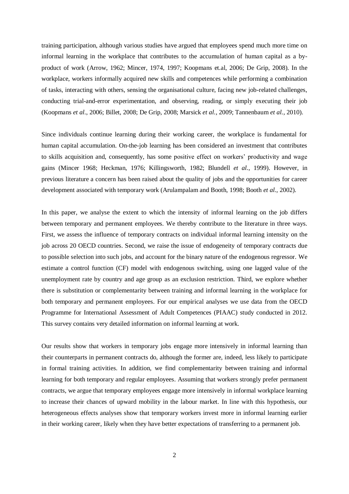training participation, although various studies have argued that employees spend much more time on informal learning in the workplace that contributes to the accumulation of human capital as a byproduct of work (Arrow, 1962; Mincer, 1974, 1997; Koopmans et.al, 2006; De Grip, 2008). In the workplace, workers informally acquired new skills and competences while performing a combination of tasks, interacting with others, sensing the organisational culture, facing new job-related challenges, conducting trial-and-error experimentation, and observing, reading, or simply executing their job (Koopmans *et al.*, 2006; Billet, 2008; De Grip, 2008; Marsick *et al.*, 2009; Tannenbaum *et al.*, 2010).

Since individuals continue learning during their working career, the workplace is fundamental for human capital accumulation. On-the-job learning has been considered an investment that contributes to skills acquisition and, consequently, has some positive effect on workers' productivity and wage gains (Mincer 1968; Heckman, 1976; Killingsworth, 1982; Blundell *et al.*, 1999). However, in previous literature a concern has been raised about the quality of jobs and the opportunities for career development associated with temporary work (Arulampalam and Booth, 1998; Booth *et al.*, 2002).

In this paper, we analyse the extent to which the intensity of informal learning on the job differs between temporary and permanent employees. We thereby contribute to the literature in three ways. First, we assess the influence of temporary contracts on individual informal learning intensity on the job across 20 OECD countries. Second, we raise the issue of endogeneity of temporary contracts due to possible selection into such jobs, and account for the binary nature of the endogenous regressor. We estimate a control function (CF) model with endogenous switching, using one lagged value of the unemployment rate by country and age group as an exclusion restriction. Third, we explore whether there is substitution or complementarity between training and informal learning in the workplace for both temporary and permanent employees. For our empirical analyses we use data from the OECD Programme for International Assessment of Adult Competences (PIAAC) study conducted in 2012. This survey contains very detailed information on informal learning at work.

Our results show that workers in temporary jobs engage more intensively in informal learning than their counterparts in permanent contracts do, although the former are, indeed, less likely to participate in formal training activities. In addition, we find complementarity between training and informal learning for both temporary and regular employees. Assuming that workers strongly prefer permanent contracts, we argue that temporary employees engage more intensively in informal workplace learning to increase their chances of upward mobility in the labour market. In line with this hypothesis, our heterogeneous effects analyses show that temporary workers invest more in informal learning earlier in their working career, likely when they have better expectations of transferring to a permanent job.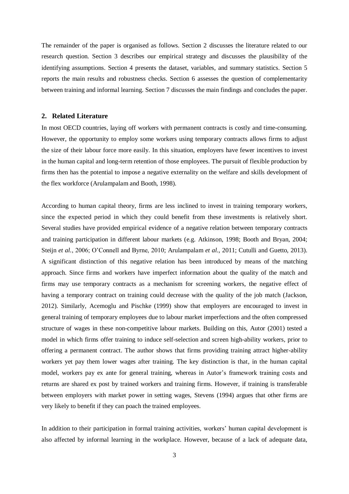The remainder of the paper is organised as follows. Section 2 discusses the literature related to our research question. Section 3 describes our empirical strategy and discusses the plausibility of the identifying assumptions. Section 4 presents the dataset, variables, and summary statistics. Section 5 reports the main results and robustness checks. Section 6 assesses the question of complementarity between training and informal learning. Section 7 discusses the main findings and concludes the paper.

#### **2. Related Literature**

In most OECD countries, laying off workers with permanent contracts is costly and time-consuming. However, the opportunity to employ some workers using temporary contracts allows firms to adjust the size of their labour force more easily. In this situation, employers have fewer incentives to invest in the human capital and long-term retention of those employees. The pursuit of flexible production by firms then has the potential to impose a negative externality on the welfare and skills development of the flex workforce (Arulampalam and Booth, 1998).

According to human capital theory, firms are less inclined to invest in training temporary workers, since the expected period in which they could benefit from these investments is relatively short. Several studies have provided empirical evidence of a negative relation between temporary contracts and training participation in different labour markets (e.g. Atkinson, 1998; Booth and Bryan, 2004; Steijn *et al.*, 2006; O'Connell and Byrne, 2010; Arulampalam *et al.*, 2011; Cutulli and Guetto, 2013). A significant distinction of this negative relation has been introduced by means of the matching approach. Since firms and workers have imperfect information about the quality of the match and firms may use temporary contracts as a mechanism for screening workers, the negative effect of having a temporary contract on training could decrease with the quality of the job match (Jackson, 2012). Similarly, Acemoglu and Pischke (1999) show that employers are encouraged to invest in general training of temporary employees due to labour market imperfections and the often compressed structure of wages in these non-competitive labour markets. Building on this, Autor (2001) tested a model in which firms offer training to induce self-selection and screen high-ability workers, prior to offering a permanent contract. The author shows that firms providing training attract higher-ability workers yet pay them lower wages after training. The key distinction is that, in the human capital model, workers pay ex ante for general training, whereas in Autor's framework training costs and returns are shared ex post by trained workers and training firms. However, if training is transferable between employers with market power in setting wages, Stevens (1994) argues that other firms are very likely to benefit if they can poach the trained employees.

In addition to their participation in formal training activities, workers' human capital development is also affected by informal learning in the workplace. However, because of a lack of adequate data,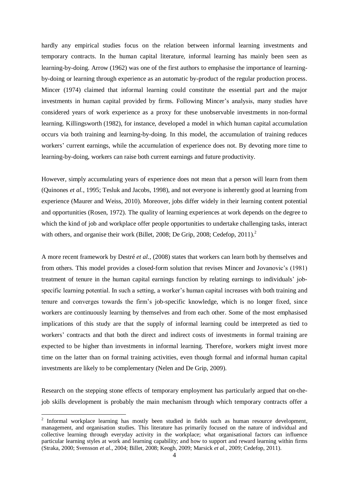hardly any empirical studies focus on the relation between informal learning investments and temporary contracts. In the human capital literature, informal learning has mainly been seen as learning-by-doing. Arrow (1962) was one of the first authors to emphasise the importance of learningby-doing or learning through experience as an automatic by-product of the regular production process. Mincer (1974) claimed that informal learning could constitute the essential part and the major investments in human capital provided by firms. Following Mincer's analysis, many studies have considered years of work experience as a proxy for these unobservable investments in non-formal learning. Killingsworth (1982), for instance, developed a model in which human capital accumulation occurs via both training and learning-by-doing. In this model, the accumulation of training reduces workers' current earnings, while the accumulation of experience does not. By devoting more time to learning-by-doing, workers can raise both current earnings and future productivity.

However, simply accumulating years of experience does not mean that a person will learn from them (Quinones *et al.*, 1995; Tesluk and Jacobs, 1998), and not everyone is inherently good at learning from experience (Maurer and Weiss, 2010). Moreover, jobs differ widely in their learning content potential and opportunities (Rosen, 1972). The quality of learning experiences at work depends on the degree to which the kind of job and workplace offer people opportunities to undertake challenging tasks, interact with others, and organise their work (Billet, 2008; De Grip, 2008; Cedefop,  $2011$ ).<sup>2</sup>

A more recent framework by Destré *et al.*, (2008) states that workers can learn both by themselves and from others. This model provides a closed-form solution that revises Mincer and Jovanovic's (1981) treatment of tenure in the human capital earnings function by relating earnings to individuals' jobspecific learning potential. In such a setting, a worker's human capital increases with both training and tenure and converges towards the firm's job-specific knowledge, which is no longer fixed, since workers are continuously learning by themselves and from each other. Some of the most emphasised implications of this study are that the supply of informal learning could be interpreted as tied to workers' contracts and that both the direct and indirect costs of investments in formal training are expected to be higher than investments in informal learning. Therefore, workers might invest more time on the latter than on formal training activities, even though formal and informal human capital investments are likely to be complementary (Nelen and De Grip, 2009).

Research on the stepping stone effects of temporary employment has particularly argued that on-thejob skills development is probably the main mechanism through which temporary contracts offer a

-

<sup>&</sup>lt;sup>2</sup> Informal workplace learning has mostly been studied in fields such as human resource development, management, and organisation studies. This literature has primarily focused on the nature of individual and collective learning through everyday activity in the workplace; what organisational factors can influence particular learning styles at work and learning capability; and how to support and reward learning within firms (Straka, 2000; Svensson *et al.*, 2004; Billet, 2008; Keogh, 2009; Marsick *et al.*, 2009; Cedefop, 2011).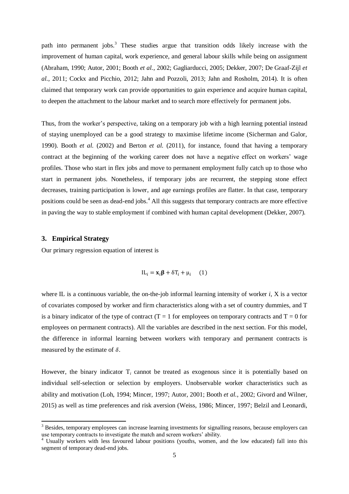path into permanent jobs.<sup>3</sup> These studies argue that transition odds likely increase with the improvement of human capital, work experience, and general labour skills while being on assignment (Abraham, 1990; Autor, 2001; Booth *et al.*, 2002; Gagliarducci, 2005; Dekker, 2007; De Graaf-Zijl *et al.*, 2011; Cockx and Picchio, 2012; Jahn and Pozzoli, 2013; Jahn and [Rosholm,](http://www.sciencedirect.com/science/article/pii/S0014292113001372) 2014). It is often claimed that temporary work can provide opportunities to gain experience and acquire human capital, to deepen the attachment to the labour market and to search more effectively for permanent jobs.

Thus, from the worker's perspective, taking on a temporary job with a high learning potential instead of staying unemployed can be a good strategy to maximise lifetime income (Sicherman and Galor, 1990). Booth *et al.* (2002) and Berton *et al.* (2011), for instance, found that having a temporary contract at the beginning of the working career does not have a negative effect on workers' wage profiles. Those who start in flex jobs and move to permanent employment fully catch up to those who start in permanent jobs. Nonetheless, if temporary jobs are recurrent, the stepping stone effect decreases, training participation is lower, and age earnings profiles are flatter. In that case, temporary positions could be seen as dead-end jobs.<sup>4</sup> All this suggests that temporary contracts are more effective in paving the way to stable employment if combined with human capital development (Dekker, 2007).

#### **3. Empirical Strategy**

1

Our primary regression equation of interest is

$$
IL_i = \mathbf{x}_i \boldsymbol{\beta} + \delta T_i + \mu_i \quad (1)
$$

where IL is a continuous variable, the on-the-job informal learning intensity of worker *i*, X is a vector of covariates composed by worker and firm characteristics along with a set of country dummies, and T is a binary indicator of the type of contract ( $T = 1$  for employees on temporary contracts and  $T = 0$  for employees on permanent contracts). All the variables are described in the next section. For this model, the difference in informal learning between workers with temporary and permanent contracts is measured by the estimate of  $\delta$ .

However, the binary indicator T<sub>i</sub> cannot be treated as exogenous since it is potentially based on individual self-selection or selection by employers. Unobservable worker characteristics such as ability and motivation (Loh, 1994; Mincer, 1997; Autor, 2001; Booth *et al.*, 2002; Givord and Wilner, 2015) as well as time preferences and risk aversion (Weiss, 1986; Mincer, 1997; Belzil and Leonardi,

<sup>&</sup>lt;sup>3</sup> Besides, temporary employees can increase learning investments for signalling reasons, because employers can use temporary contracts to investigate the match and screen workers' ability.

<sup>&</sup>lt;sup>4</sup> Usually workers with less favoured labour positions (youths, women, and the low educated) fall into this segment of temporary dead-end jobs.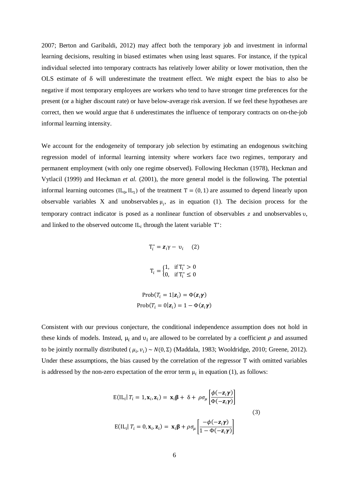2007; Berton and Garibaldi, 2012) may affect both the temporary job and investment in informal learning decisions, resulting in biased estimates when using least squares. For instance, if the typical individual selected into temporary contracts has relatively lower ability or lower motivation, then the OLS estimate of δ will underestimate the treatment effect. We might expect the bias to also be negative if most temporary employees are workers who tend to have stronger time preferences for the present (or a higher discount rate) or have below-average risk aversion. If we feel these hypotheses are correct, then we would argue that δ underestimates the influence of temporary contracts on on-the-job informal learning intensity.

We account for the endogeneity of temporary job selection by estimating an endogenous switching regression model of informal learning intensity where workers face two regimes, temporary and permanent employment (with only one regime observed). Following Heckman (1978), Heckman and Vytlacil (1999) and Heckman *et al.* (2001), the more general model is the following. The potential informal learning outcomes  $(IL_0, IL_1)$  of the treatment  $T = (0, 1)$  are assumed to depend linearly upon observable variables X and unobservables  $\mu_i$ , as in equation (1). The decision process for the temporary contract indicator is posed as a nonlinear function of observables  $z$  and unobservables  $v$ , and linked to the observed outcome  $IL_i$  through the latent variable  $T^*$ :

$$
T_i^* = \mathbf{z}_i \gamma - \upsilon_i \quad (2)
$$
  

$$
T_i = \begin{cases} 1, & \text{if } T_i^* > 0 \\ 0, & \text{if } T_i^* \le 0 \end{cases}
$$
  

$$
\text{Prob}(T_i = 1 | \mathbf{z}_i) = \Phi(\mathbf{z}_i \gamma)
$$

$$
Prob(T_i = 0|\mathbf{z}_i) = 1 - \Phi(\mathbf{z}_i \boldsymbol{\gamma})
$$

Consistent with our previous conjecture, the conditional independence assumption does not hold in these kinds of models. Instead,  $\mu_i$  and  $\nu_i$  are allowed to be correlated by a coefficient  $\rho$  and assumed to be jointly normally distributed ( $\mu_i$ ,  $v_i$ ) ~  $N(0, \Sigma)$  (Maddala, 1983; Wooldridge, 2010; Greene, 2012). Under these assumptions, the bias caused by the correlation of the regressor T with omitted variables is addressed by the non-zero expectation of the error term  $\mu_i$  in equation (1), as follows:

$$
E(IL_i | T_i = 1, \mathbf{x}_i, \mathbf{z}_i) = \mathbf{x}_i \boldsymbol{\beta} + \delta + \rho \sigma_\mu \left[ \frac{\phi(-\mathbf{z}_i \boldsymbol{\gamma})}{\Phi(-\mathbf{z}_i \boldsymbol{\gamma})} \right]
$$
  
(3)  

$$
E(IL_i | T_i = 0, \mathbf{x}_i, \mathbf{z}_i) = \mathbf{x}_i \boldsymbol{\beta} + \rho \sigma_\mu \left[ \frac{-\phi(-\mathbf{z}_i \boldsymbol{\gamma})}{1 - \Phi(-\mathbf{z}_i \boldsymbol{\gamma})} \right]
$$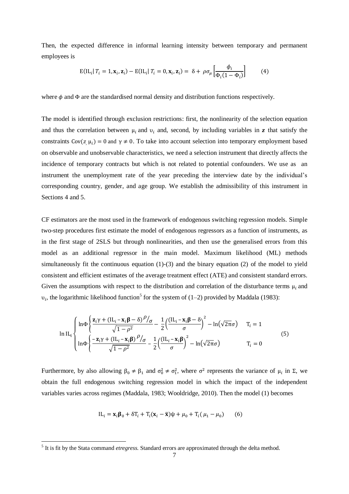Then, the expected difference in informal learning intensity between temporary and permanent employees is

$$
E(IL_i | T_i = 1, \mathbf{x}_i, \mathbf{z}_i) - E(IL_i | T_i = 0, \mathbf{x}_i, \mathbf{z}_i) = \delta + \rho \sigma_\mu \left[ \frac{\phi_i}{\Phi_i (1 - \Phi_i)} \right]
$$
(4)

where  $\phi$  and  $\Phi$  are the standardised normal density and distribution functions respectively.

The model is identified through exclusion restrictions: first, the nonlinearity of the selection equation and thus the correlation between  $\mu_i$  and  $\nu_i$  and, second, by including variables in **z** that satisfy the constraints Cov( $z_i$ ,  $\mu_i$ ) = 0 and  $\gamma \neq 0$ . To take into account selection into temporary employment based on observable and unobservable characteristics, we need a selection instrument that directly affects the incidence of temporary contracts but which is not related to potential confounders. We use as an instrument the unemployment rate of the year preceding the interview date by the individual's corresponding country, gender, and age group. We establish the admissibility of this instrument in Sections 4 and 5.

CF estimators are the most used in the framework of endogenous switching regression models. Simple two-step procedures first estimate the model of endogenous regressors as a function of instruments, as in the first stage of 2SLS but through nonlinearities, and then use the generalised errors from this model as an additional regressor in the main model. Maximum likelihood (ML) methods simultaneously fit the continuous equation (1)-(3) and the binary equation (2) of the model to yield consistent and efficient estimates of the average treatment effect (ATE) and consistent standard errors. Given the assumptions with respect to the distribution and correlation of the disturbance terms  $\mu_i$  and  $v_i$ , the logarithmic likelihood function<sup>5</sup> for the system of (1–2) provided by Maddala (1983):

$$
\ln IL_{i} \begin{cases} \ln \Phi \left\{ \frac{\mathbf{z}_{i} \gamma + (\mathrm{IL}_{i} - \mathbf{x}_{i} \boldsymbol{\beta} - \delta)^{\rho} / \sigma}{\sqrt{1 - \rho^{2}}} - \frac{1}{2} \left( \frac{(\mathrm{IL}_{i} - \mathbf{x}_{i} \boldsymbol{\beta} - \delta}{\sigma} \right)^{2} - \ln(\sqrt{2\pi}\sigma) \right) & T_{i} = 1 \\ \ln \Phi \left\{ \frac{-\mathbf{z}_{i} \gamma + (\mathrm{IL}_{i} - \mathbf{x}_{i} \boldsymbol{\beta})^{\rho} / \sigma}{\sqrt{1 - \rho^{2}}} - \frac{1}{2} \left( \frac{(\mathrm{IL}_{i} - \mathbf{x}_{i} \boldsymbol{\beta}}{\sigma} \right)^{2} - \ln(\sqrt{2\pi}\sigma) \right) & T_{i} = 0 \end{cases} \tag{5}
$$

Furthermore, by also allowing  $\beta_0 \neq \beta_1$  and  $\sigma_0^2 \neq \sigma_1^2$ , where  $\sigma^2$  represents the variance of  $\mu_i$  in Σ, we obtain the full endogenous switching regression model in which the impact of the independent variables varies across regimes (Maddala, 1983; Wooldridge, 2010). Then the model (1) becomes

$$
IL_{i} = \mathbf{x}_{i} \mathbf{\beta}_{0} + \delta T_{i} + T_{i}(\mathbf{x}_{i} - \bar{\mathbf{x}}) \psi + \mu_{0} + T_{i}(\mu_{1} - \mu_{0})
$$
(6)

 5 It is fit by the Stata command *etregress.* Standard errors are approximated through the delta method.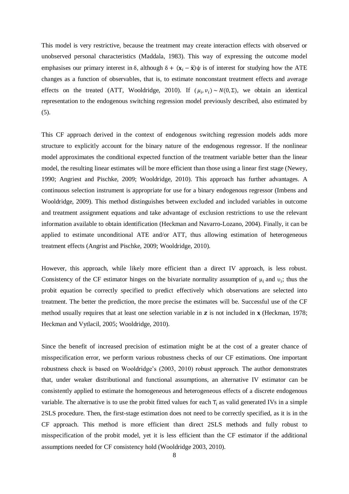This model is very restrictive, because the treatment may create interaction effects with observed or unobserved personal characteristics (Maddala, 1983). This way of expressing the outcome model emphasises our primary interest in δ, although  $\delta + (\mathbf{x}_i - \bar{\mathbf{x}})\psi$  is of interest for studying how the ATE changes as a function of observables, that is, to estimate nonconstant treatment effects and average effects on the treated (ATT, Wooldridge, 2010). If  $(\mu_i, \nu_i) \sim N(0, \Sigma)$ , we obtain an identical representation to the endogenous switching regression model previously described, also estimated by (5).

This CF approach derived in the context of endogenous switching regression models adds more structure to explicitly account for the binary nature of the endogenous regressor. If the nonlinear model approximates the conditional expected function of the treatment variable better than the linear model, the resulting linear estimates will be more efficient than those using a linear first stage (Newey, 1990; Angriest and Pischke, 2009; Wooldridge, 2010). This approach has further advantages. A continuous selection instrument is appropriate for use for a binary endogenous regressor (Imbens and Wooldridge, 2009). This method distinguishes between excluded and included variables in outcome and treatment assignment equations and take advantage of exclusion restrictions to use the relevant information available to obtain identification (Heckman and Navarro-Lozano, 2004). Finally, it can be applied to estimate unconditional ATE and/or ATT, thus allowing estimation of heterogeneous treatment effects (Angrist and Pischke, 2009; Wooldridge, 2010).

However, this approach, while likely more efficient than a direct IV approach, is less robust. Consistency of the CF estimator hinges on the bivariate normality assumption of  $\mu_i$  and  $\nu_i$ ; thus the probit equation be correctly specified to predict effectively which observations are selected into treatment. The better the prediction, the more precise the estimates will be. Successful use of the CF method usually requires that at least one selection variable in  $\bf{z}$  is not included in  $\bf{x}$  (Heckman, 1978; Heckman and Vytlacil, 2005; Wooldridge, 2010).

Since the benefit of increased precision of estimation might be at the cost of a greater chance of misspecification error, we perform various robustness checks of our CF estimations. One important robustness check is based on Wooldridge's (2003, 2010) robust approach. The author demonstrates that, under weaker distributional and functional assumptions, an alternative IV estimator can be consistently applied to estimate the homogeneous and heterogeneous effects of a discrete endogenous variable. The alternative is to use the probit fitted values for each  $T_i$  as valid generated IVs in a simple 2SLS procedure. Then, the first-stage estimation does not need to be correctly specified, as it is in the CF approach. This method is more efficient than direct 2SLS methods and fully robust to misspecification of the probit model, yet it is less efficient than the CF estimator if the additional assumptions needed for CF consistency hold (Wooldridge 2003, 2010).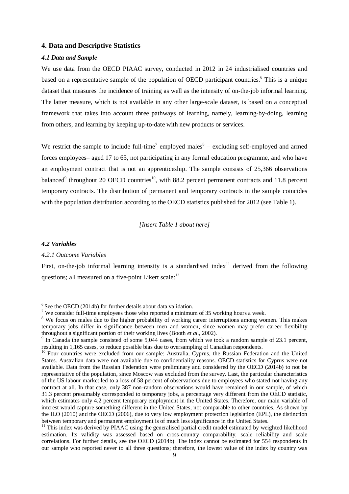#### **4. Data and Descriptive Statistics**

#### *4.1 Data and Sample*

We use data from the OECD PIAAC survey, conducted in 2012 in 24 industrialised countries and based on a representative sample of the population of OECD participant countries.<sup>6</sup> This is a unique dataset that measures the incidence of training as well as the intensity of on-the-job informal learning. The latter measure, which is not available in any other large-scale dataset, is based on a conceptual framework that takes into account three pathways of learning, namely, learning-by-doing, learning from others, and learning by keeping up-to-date with new products or services.

We restrict the sample to include full-time<sup>7</sup> employed males<sup>8</sup> – excluding self-employed and armed forces employees– aged 17 to 65, not participating in any formal education programme, and who have an employment contract that is not an apprenticeship. The sample consists of 25,366 observations balanced<sup>9</sup> throughout 20 OECD countries<sup>10</sup>, with 88.2 percent permanent contracts and 11.8 percent temporary contracts. The distribution of permanent and temporary contracts in the sample coincides with the population distribution according to the OECD statistics published for 2012 (see Table 1).

*[Insert Table 1 about here]*

#### *4.2 Variables*

#### *4.2.1 Outcome Variables*

First, on-the-job informal learning intensity is a standardised index<sup>11</sup> derived from the following questions; all measured on a five-point Likert scale:<sup>12</sup>

<sup>&</sup>lt;sup>6</sup> See the OECD (2014b) for further details about data validation.

<sup>&</sup>lt;sup>7</sup> We consider full-time employees those who reported a minimum of 35 working hours a week.

<sup>&</sup>lt;sup>8</sup> We focus on males due to the higher probability of working career interruptions among women. This makes temporary jobs differ in significance between men and women, since women may prefer career flexibility throughout a significant portion of their working lives (Booth *et al.*, 2002).

<sup>&</sup>lt;sup>9</sup> In Canada the sample consisted of some 5,044 cases, from which we took a random sample of 23.1 percent, resulting in 1,165 cases, to reduce possible bias due to oversampling of Canadian respondents.

<sup>&</sup>lt;sup>10</sup> Four countries were excluded from our sample: Australia, Cyprus, the Russian Federation and the United States. Australian data were not available due to confidentiality reasons. OECD statistics for Cyprus were not available. Data from the Russian Federation were preliminary and considered by the OECD (2014b) to not be representative of the population, since Moscow was excluded from the survey. Last, the particular characteristics of the US labour market led to a loss of 58 percent of observations due to employees who stated not having any contract at all. In that case, only 387 non-random observations would have remained in our sample, of which 31.3 percent presumably corresponded to temporary jobs, a percentage very different from the OECD statistic, which estimates only 4.2 percent temporary employment in the United States. Therefore, our main variable of interest would capture something different in the United States, not comparable to other countries. As shown by the ILO (2010) and the OECD (2006), due to very low employment protection legislation (EPL), the distinction between temporary and permanent employment is of much less significance in the United States.

<sup>&</sup>lt;sup>11</sup> This index was derived by PIAAC using the generalised partial credit model estimated by weighted likelihood estimation. Its validity was assessed based on cross-country comparability, scale reliability and scale correlations. For further details, see the OECD (2014b). The index cannot be estimated for 554 respondents in our sample who reported never to all three questions; therefore, the lowest value of the index by country was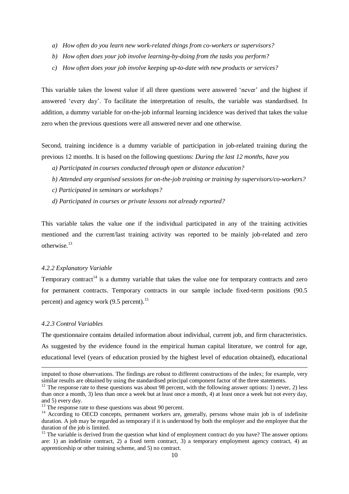- *a) How often do you learn new work-related things from co-workers or supervisors?*
- *b) How often does your job involve learning-by-doing from the tasks you perform?*
- *c) How often does your job involve keeping up-to-date with new products or services?*

This variable takes the lowest value if all three questions were answered 'never' and the highest if answered 'every day'. To facilitate the interpretation of results, the variable was standardised. In addition, a dummy variable for on-the-job informal learning incidence was derived that takes the value zero when the previous questions were all answered never and one otherwise.

Second, training incidence is a dummy variable of participation in job-related training during the previous 12 months. It is based on the following questions: *During the last 12 months, have you*

- *a) Participated in courses conducted through open or distance education?*
- *b) Attended any organised sessions for on-the-job training or training by supervisors/co-workers?*
- *c) Participated in seminars or workshops?*
- *d) Participated in courses or private lessons not already reported?*

This variable takes the value one if the individual participated in any of the training activities mentioned and the current/last training activity was reported to be mainly job-related and zero otherwise.<sup>13</sup>

#### *4.2.2 Explanatory Variable*

Temporary contract<sup>14</sup> is a dummy variable that takes the value one for temporary contracts and zero for permanent contracts. Temporary contracts in our sample include fixed-term positions (90.5 percent) and agency work (9.5 percent).<sup>15</sup>

#### *4.2.3 Control Variables*

1

The questionnaire contains detailed information about individual, current job, and firm characteristics. As suggested by the evidence found in the empirical human capital literature, we control for age, educational level (years of education proxied by the highest level of education obtained), educational

imputed to those observations. The findings are robust to different constructions of the index; for example, very similar results are obtained by using the standardised principal component factor of the three statements.

 $12$  The response rate to these questions was about 98 percent, with the following answer options: 1) never, 2) less than once a month, 3) less than once a week but at least once a month, 4) at least once a week but not every day, and 5) every day.

<sup>&</sup>lt;sup>13</sup> The response rate to these questions was about 90 percent.

<sup>&</sup>lt;sup>14</sup> According to OECD concepts, permanent workers are, generally, persons whose main job is of indefinite duration. A job may be regarded as temporary if it is understood by both the employer and the employee that the duration of the job is limited.

<sup>&</sup>lt;sup>15</sup> The variable is derived from the question what kind of employment contract do you have? The answer options are: 1) an indefinite contract, 2) a fixed term contract, 3) a temporary employment agency contract, 4) an apprenticeship or other training scheme, and 5) no contract.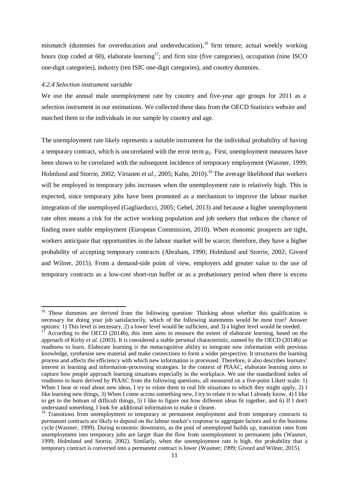mismatch (dummies for overeducation and undereducation), <sup>16</sup> firm tenure, actual weekly working hours (top coded at 60), elaborate learning<sup>17</sup>; and firm size (five categories), occupation (nine ISCO) one-digit categories), industry (ten ISIC one-digit categories), and country dummies.

#### *4.2.4 Selection instrument variable*

1

We use the annual male unemployment rate by country and five-year age groups for 2011 as a selection instrument in our estimations. We collected these data from the OECD Statistics website and matched them to the individuals in our sample by country and age.

The unemployment rate likely represents a suitable instrument for the individual probability of having a temporary contract, which is uncorrelated with the error term  $\mu_i$ . First, unemployment measures have been shown to be correlated with the subsequent incidence of temporary employment (Wasmer, 1999; Holmlund and Storrie, 2002; Virtanen *et al.*, 2005; Kahn, 2010). <sup>18</sup> The average likelihood that workers will be employed in temporary jobs increases when the unemployment rate is relatively high. This is expected, since temporary jobs have been promoted as a mechanism to improve the labour market integration of the unemployed (Gagliarducci, 2005; Gebel, 2013) and because a higher unemployment rate often means a risk for the active working population and job seekers that reduces the chance of finding more stable employment (European Commission, 2010). When economic prospects are tight, workers anticipate that opportunities in the labour market will be scarce; therefore, they have a higher probability of accepting temporary contracts (Abraham, 1990; Holmlund and Storrie, 2002; Givord and Wilner, 2015). From a demand-side point of view, employers add greater value to the use of temporary contracts as a low-cost short-run buffer or as a probationary period when there is excess

<sup>&</sup>lt;sup>16</sup> These dummies are derived from the following question: Thinking about whether this qualification is necessary for doing your job satisfactorily, which of the following statements would be most true? Answer options: 1) This level is necessary, 2) a lower level would be sufficient, and 3) a higher level would be needed.

According to the OECD (2014b), this item aims to measure the extent of elaborate learning, based on the approach of Kirby *et al.* (2003). It is considered a stable personal characteristic, named by the OECD (2014b) as readiness to learn. Elaborate learning is the metacognitive ability to integrate new information with previous knowledge, synthesise new material and make connections to form a wider perspective. It structures the learning process and affects the efficiency with which new information is processed. Therefore, it also describes learners' interest in learning and information-processing strategies. In the context of PIAAC, elaborate learning aims to capture how people approach learning situations especially in the workplace. We use the standardised index of readiness to learn derived by PIAAC from the following questions, all measured on a five-point Likert scale: 1) When I hear or read about new ideas, I try to relate them to real life situations to which they might apply, 2) I like learning new things, 3) When I come across something new, I try to relate it to what I already know, 4) I like to get to the bottom of difficult things, 5) I like to figure out how different ideas fit together, and 6) If I don't understand something, I look for additional information to make it clearer.

<sup>&</sup>lt;sup>18</sup> Transitions from unemployment to temporary or permanent employment and from temporary contracts to permanent contracts are likely to depend on the labour market's response to aggregate factors and to the business cycle (Wasmer, 1999). During economic downturns, as the pool of unemployed builds up, transition rates from unemployment into temporary jobs are larger than the flow from unemployment to permanent jobs (Wasmer, 1999; Holmlund and Storrie, 2002). Similarly, when the unemployment rate is high, the probability that a temporary contract is converted into a permanent contract is lower (Wasmer; 1999; Givord and Wilner, 2015).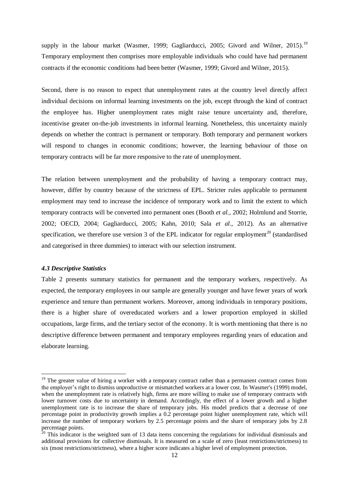supply in the labour market (Wasmer, 1999; Gagliarducci, 2005; Givord and Wilner, 2015).<sup>19</sup> Temporary employment then comprises more employable individuals who could have had permanent contracts if the economic conditions had been better (Wasmer, 1999; Givord and Wilner, 2015).

Second, there is no reason to expect that unemployment rates at the country level directly affect individual decisions on informal learning investments on the job, except through the kind of contract the employee has. Higher unemployment rates might raise tenure uncertainty and, therefore, incentivise greater on-the-job investments in informal learning. Nonetheless, this uncertainty mainly depends on whether the contract is permanent or temporary. Both temporary and permanent workers will respond to changes in economic conditions; however, the learning behaviour of those on temporary contracts will be far more responsive to the rate of unemployment.

The relation between unemployment and the probability of having a temporary contract may, however, differ by country because of the strictness of EPL. Stricter rules applicable to permanent employment may tend to increase the incidence of temporary work and to limit the extent to which temporary contracts will be converted into permanent ones (Booth *et al.*, 2002; Holmlund and Storrie, 2002; OECD, 2004; Gagliarducci, 2005; Kahn, 2010; Sala *et al.*, 2012). As an alternative specification, we therefore use version 3 of the EPL indicator for regular employment<sup>20</sup> (standardised and categorised in three dummies) to interact with our selection instrument.

#### *4.3 Descriptive Statistics*

**.** 

Table 2 presents summary statistics for permanent and the temporary workers, respectively. As expected, the temporary employees in our sample are generally younger and have fewer years of work experience and tenure than permanent workers. Moreover, among individuals in temporary positions, there is a higher share of overeducated workers and a lower proportion employed in skilled occupations, large firms, and the tertiary sector of the economy. It is worth mentioning that there is no descriptive difference between permanent and temporary employees regarding years of education and elaborate learning.

<sup>&</sup>lt;sup>19</sup> The greater value of hiring a worker with a temporary contract rather than a permanent contract comes from the employer's right to dismiss unproductive or mismatched workers at a lower cost. In Wasmer's (1999) model, when the unemployment rate is relatively high, firms are more willing to make use of temporary contracts with lower turnover costs due to uncertainty in demand. Accordingly, the effect of a lower growth and a higher unemployment rate is to increase the share of temporary jobs. His model predicts that a decrease of one percentage point in productivity growth implies a 0.2 percentage point higher unemployment rate, which will increase the number of temporary workers by 2.5 percentage points and the share of temporary jobs by 2.8 percentage points.

 $20$  This indicator is the weighted sum of 13 data items concerning the regulations for individual dismissals and additional provisions for collective dismissals. It is measured on a scale of zero (least restrictions/strictness) to six (most restrictions/strictness), where a higher score indicates a higher level of employment protection.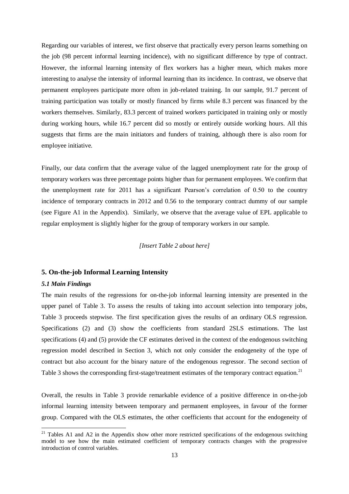Regarding our variables of interest, we first observe that practically every person learns something on the job (98 percent informal learning incidence), with no significant difference by type of contract. However, the informal learning intensity of flex workers has a higher mean, which makes more interesting to analyse the intensity of informal learning than its incidence. In contrast, we observe that permanent employees participate more often in job-related training. In our sample, 91.7 percent of training participation was totally or mostly financed by firms while 8.3 percent was financed by the workers themselves. Similarly, 83.3 percent of trained workers participated in training only or mostly during working hours, while 16.7 percent did so mostly or entirely outside working hours. All this suggests that firms are the main initiators and funders of training, although there is also room for employee initiative.

Finally, our data confirm that the average value of the lagged unemployment rate for the group of temporary workers was three percentage points higher than for permanent employees. We confirm that the unemployment rate for 2011 has a significant Pearson's correlation of 0.50 to the country incidence of temporary contracts in 2012 and 0.56 to the temporary contract dummy of our sample (see Figure A1 in the Appendix). Similarly, we observe that the average value of EPL applicable to regular employment is slightly higher for the group of temporary workers in our sample.

#### *[Insert Table 2 about here]*

#### **5. On-the-job Informal Learning Intensity**

#### *5.1 Main Findings*

1

The main results of the regressions for on-the-job informal learning intensity are presented in the upper panel of Table 3. To assess the results of taking into account selection into temporary jobs, Table 3 proceeds stepwise. The first specification gives the results of an ordinary OLS regression. Specifications (2) and (3) show the coefficients from standard 2SLS estimations. The last specifications (4) and (5) provide the CF estimates derived in the context of the endogenous switching regression model described in Section 3, which not only consider the endogeneity of the type of contract but also account for the binary nature of the endogenous regressor. The second section of Table 3 shows the corresponding first-stage/treatment estimates of the temporary contract equation.<sup>21</sup>

Overall, the results in Table 3 provide remarkable evidence of a positive difference in on-the-job informal learning intensity between temporary and permanent employees, in favour of the former group. Compared with the OLS estimates, the other coefficients that account for the endogeneity of

<sup>&</sup>lt;sup>21</sup> Tables A1 and A2 in the Appendix show other more restricted specifications of the endogenous switching model to see how the main estimated coefficient of temporary contracts changes with the progressive introduction of control variables.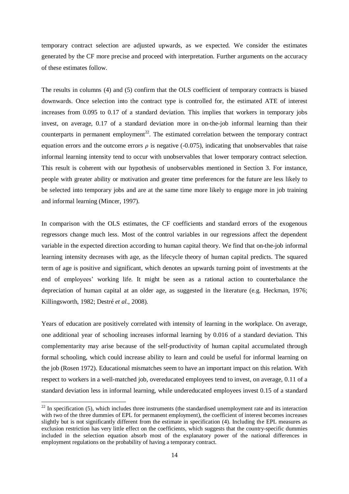temporary contract selection are adjusted upwards, as we expected. We consider the estimates generated by the CF more precise and proceed with interpretation. Further arguments on the accuracy of these estimates follow.

The results in columns (4) and (5) confirm that the OLS coefficient of temporary contracts is biased downwards. Once selection into the contract type is controlled for, the estimated ATE of interest increases from 0.095 to 0.17 of a standard deviation. This implies that workers in temporary jobs invest, on average, 0.17 of a standard deviation more in on-the-job informal learning than their counterparts in permanent employment<sup>22</sup>. The estimated correlation between the temporary contract equation errors and the outcome errors  $\rho$  is negative (-0.075), indicating that unobservables that raise informal learning intensity tend to occur with unobservables that lower temporary contract selection. This result is coherent with our hypothesis of unobservables mentioned in Section 3. For instance, people with greater ability or motivation and greater time preferences for the future are less likely to be selected into temporary jobs and are at the same time more likely to engage more in job training and informal learning (Mincer, 1997).

In comparison with the OLS estimates, the CF coefficients and standard errors of the exogenous regressors change much less. Most of the control variables in our regressions affect the dependent variable in the expected direction according to human capital theory. We find that on-the-job informal learning intensity decreases with age, as the lifecycle theory of human capital predicts. The squared term of age is positive and significant, which denotes an upwards turning point of investments at the end of employees' working life. It might be seen as a rational action to counterbalance the depreciation of human capital at an older age, as suggested in the literature (e.g. Heckman, 1976; Killingsworth, 1982; Destré *et al.*, 2008).

Years of education are positively correlated with intensity of learning in the workplace. On average, one additional year of schooling increases informal learning by 0.016 of a standard deviation. This complementarity may arise because of the self-productivity of human capital accumulated through formal schooling, which could increase ability to learn and could be useful for informal learning on the job (Rosen 1972). Educational mismatches seem to have an important impact on this relation. With respect to workers in a well-matched job, overeducated employees tend to invest, on average, 0.11 of a standard deviation less in informal learning, while undereducated employees invest 0.15 of a standard

-

 $^{22}$  In specification (5), which includes three instruments (the standardised unemployment rate and its interaction with two of the three dummies of EPL for permanent employment), the coefficient of interest becomes increases slightly but is not significantly different from the estimate in specification (4). Including the EPL measures as exclusion restriction has very little effect on the coefficients, which suggests that the country-specific dummies included in the selection equation absorb most of the explanatory power of the national differences in employment regulations on the probability of having a temporary contract.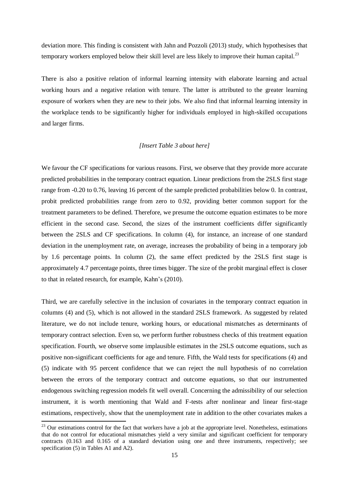deviation more. This finding is consistent with Jahn and Pozzoli (2013) study, which hypothesises that temporary workers employed below their skill level are less likely to improve their human capital.<sup>23</sup>

There is also a positive relation of informal learning intensity with elaborate learning and actual working hours and a negative relation with tenure. The latter is attributed to the greater learning exposure of workers when they are new to their jobs. We also find that informal learning intensity in the workplace tends to be significantly higher for individuals employed in high-skilled occupations and larger firms.

#### *[Insert Table 3 about here]*

We favour the CF specifications for various reasons. First, we observe that they provide more accurate predicted probabilities in the temporary contract equation. Linear predictions from the 2SLS first stage range from -0.20 to 0.76, leaving 16 percent of the sample predicted probabilities below 0. In contrast, probit predicted probabilities range from zero to 0.92, providing better common support for the treatment parameters to be defined. Therefore, we presume the outcome equation estimates to be more efficient in the second case. Second, the sizes of the instrument coefficients differ significantly between the 2SLS and CF specifications. In column (4), for instance, an increase of one standard deviation in the unemployment rate, on average, increases the probability of being in a temporary job by 1.6 percentage points. In column (2), the same effect predicted by the 2SLS first stage is approximately 4.7 percentage points, three times bigger. The size of the probit marginal effect is closer to that in related research, for example, Kahn's (2010).

Third, we are carefully selective in the inclusion of covariates in the temporary contract equation in columns (4) and (5), which is not allowed in the standard 2SLS framework. As suggested by related literature, we do not include tenure, working hours, or educational mismatches as determinants of temporary contract selection. Even so, we perform further robustness checks of this treatment equation specification. Fourth, we observe some implausible estimates in the 2SLS outcome equations, such as positive non-significant coefficients for age and tenure. Fifth, the Wald tests for specifications (4) and (5) indicate with 95 percent confidence that we can reject the null hypothesis of no correlation between the errors of the temporary contract and outcome equations, so that our instrumented endogenous switching regression models fit well overall. Concerning the admissibility of our selection instrument, it is worth mentioning that Wald and F-tests after nonlinear and linear first-stage estimations, respectively, show that the unemployment rate in addition to the other covariates makes a

1

 $23$  Our estimations control for the fact that workers have a job at the appropriate level. Nonetheless, estimations that do not control for educational mismatches yield a very similar and significant coefficient for temporary contracts (0.163 and 0.165 of a standard deviation using one and three instruments, respectively; see specification (5) in Tables A1 and A2).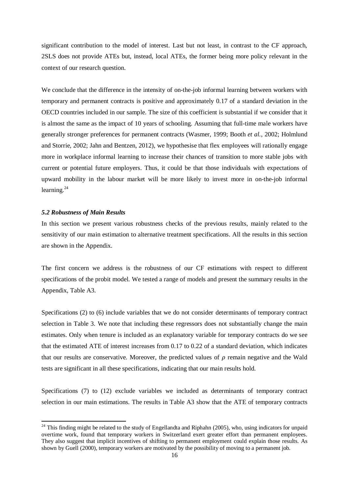significant contribution to the model of interest. Last but not least, in contrast to the CF approach, 2SLS does not provide ATEs but, instead, local ATEs, the former being more policy relevant in the context of our research question.

We conclude that the difference in the intensity of on-the-job informal learning between workers with temporary and permanent contracts is positive and approximately 0.17 of a standard deviation in the OECD countries included in our sample. The size of this coefficient is substantial if we consider that it is almost the same as the impact of 10 years of schooling. Assuming that full-time male workers have generally stronger preferences for permanent contracts (Wasmer, 1999; Booth *et al.*, 2002; Holmlund and Storrie, 2002; Jahn and Bentzen, 2012), we hypothesise that flex employees will rationally engage more in workplace informal learning to increase their chances of transition to more stable jobs with current or potential future employers. Thus, it could be that those individuals with expectations of upward mobility in the labour market will be more likely to invest more in on-the-job informal learning.<sup>24</sup>

#### *5.2 Robustness of Main Results*

1

In this section we present various robustness checks of the previous results, mainly related to the sensitivity of our main estimation to alternative treatment specifications. All the results in this section are shown in the Appendix.

The first concern we address is the robustness of our CF estimations with respect to different specifications of the probit model. We tested a range of models and present the summary results in the Appendix, Table A3.

Specifications (2) to (6) include variables that we do not consider determinants of temporary contract selection in Table 3. We note that including these regressors does not substantially change the main estimates. Only when tenure is included as an explanatory variable for temporary contracts do we see that the estimated ATE of interest increases from 0.17 to 0.22 of a standard deviation, which indicates that our results are conservative. Moreover, the predicted values of  $\rho$  remain negative and the Wald tests are significant in all these specifications, indicating that our main results hold.

Specifications (7) to (12) exclude variables we included as determinants of temporary contract selection in our main estimations. The results in Table A3 show that the ATE of temporary contracts

 $24$  This finding might be related to the study of Engellandta and Riphahn (2005), who, using indicators for unpaid overtime work, found that temporary workers in Switzerland exert greater effort than permanent employees. They also suggest that implicit incentives of shifting to permanent employment could explain those results. As shown by Guell (2000), temporary workers are motivated by the possibility of moving to a permanent job.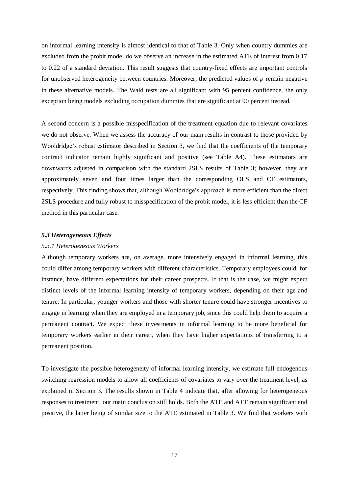on informal learning intensity is almost identical to that of Table 3. Only when country dummies are excluded from the probit model do we observe an increase in the estimated ATE of interest from 0.17 to 0.22 of a standard deviation. This result suggests that country-fixed effects are important controls for unobserved heterogeneity between countries. Moreover, the predicted values of  $\rho$  remain negative in these alternative models. The Wald tests are all significant with 95 percent confidence, the only exception being models excluding occupation dummies that are significant at 90 percent instead.

A second concern is a possible misspecification of the treatment equation due to relevant covariates we do not observe. When we assess the accuracy of our main results in contrast to those provided by Wooldridge's robust estimator described in Section 3, we find that the coefficients of the temporary contract indicator remain highly significant and positive (see Table A4). These estimators are downwards adjusted in comparison with the standard 2SLS results of Table 3; however, they are approximately seven and four times larger than the corresponding OLS and CF estimators, respectively. This finding shows that, although Wooldridge's approach is more efficient than the direct 2SLS procedure and fully robust to misspecification of the probit model, it is less efficient than the CF method in this particular case.

#### *5.3 Heterogeneous Effects*

#### *5.3.1 Heterogeneous Workers*

Although temporary workers are, on average, more intensively engaged in informal learning, this could differ among temporary workers with different characteristics. Temporary employees could, for instance, have different expectations for their career prospects. If that is the case, we might expect distinct levels of the informal learning intensity of temporary workers, depending on their age and tenure: In particular, younger workers and those with shorter tenure could have stronger incentives to engage in learning when they are employed in a temporary job, since this could help them to acquire a permanent contract. We expect these investments in informal learning to be more beneficial for temporary workers earlier in their career, when they have higher expectations of transferring to a permanent position.

To investigate the possible heterogeneity of informal learning intensity, we estimate full endogenous switching regression models to allow all coefficients of covariates to vary over the treatment level, as explained in Section 3. The results shown in Table 4 indicate that, after allowing for heterogeneous responses to treatment, our main conclusion still holds. Both the ATE and ATT remain significant and positive, the latter being of similar size to the ATE estimated in Table 3. We find that workers with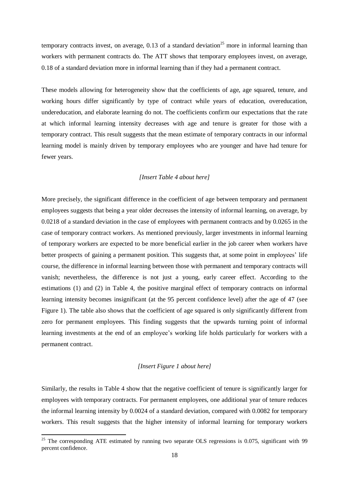temporary contracts invest, on average,  $0.13$  of a standard deviation<sup>25</sup> more in informal learning than workers with permanent contracts do. The ATT shows that temporary employees invest, on average, 0.18 of a standard deviation more in informal learning than if they had a permanent contract.

These models allowing for heterogeneity show that the coefficients of age, age squared, tenure, and working hours differ significantly by type of contract while years of education, overeducation, undereducation, and elaborate learning do not. The coefficients confirm our expectations that the rate at which informal learning intensity decreases with age and tenure is greater for those with a temporary contract. This result suggests that the mean estimate of temporary contracts in our informal learning model is mainly driven by temporary employees who are younger and have had tenure for fewer years.

#### *[Insert Table 4 about here]*

More precisely, the significant difference in the coefficient of age between temporary and permanent employees suggests that being a year older decreases the intensity of informal learning, on average, by 0.0218 of a standard deviation in the case of employees with permanent contracts and by 0.0265 in the case of temporary contract workers. As mentioned previously, larger investments in informal learning of temporary workers are expected to be more beneficial earlier in the job career when workers have better prospects of gaining a permanent position. This suggests that, at some point in employees' life course, the difference in informal learning between those with permanent and temporary contracts will vanish; nevertheless, the difference is not just a young, early career effect. According to the estimations (1) and (2) in Table 4, the positive marginal effect of temporary contracts on informal learning intensity becomes insignificant (at the 95 percent confidence level) after the age of 47 (see Figure 1). The table also shows that the coefficient of age squared is only significantly different from zero for permanent employees. This finding suggests that the upwards turning point of informal learning investments at the end of an employee's working life holds particularly for workers with a permanent contract.

#### *[Insert Figure 1 about here]*

Similarly, the results in Table 4 show that the negative coefficient of tenure is significantly larger for employees with temporary contracts. For permanent employees, one additional year of tenure reduces the informal learning intensity by 0.0024 of a standard deviation, compared with 0.0082 for temporary workers. This result suggests that the higher intensity of informal learning for temporary workers

**.** 

 $25$  The corresponding ATE estimated by running two separate OLS regressions is 0.075, significant with 99 percent confidence.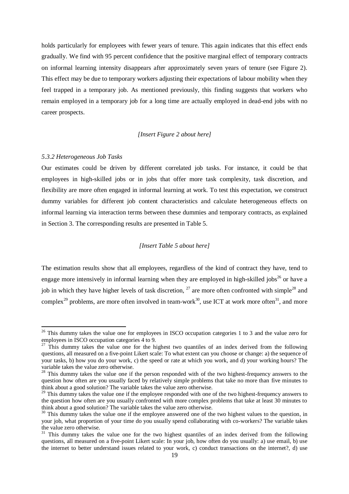holds particularly for employees with fewer years of tenure. This again indicates that this effect ends gradually. We find with 95 percent confidence that the positive marginal effect of temporary contracts on informal learning intensity disappears after approximately seven years of tenure (see Figure 2). This effect may be due to temporary workers adjusting their expectations of labour mobility when they feel trapped in a temporary job. As mentioned previously, this finding suggests that workers who remain employed in a temporary job for a long time are actually employed in dead-end jobs with no career prospects.

#### *[Insert Figure 2 about here]*

#### *5.3.2 Heterogeneous Job Tasks*

-

Our estimates could be driven by different correlated job tasks. For instance, it could be that employees in high-skilled jobs or in jobs that offer more task complexity, task discretion, and flexibility are more often engaged in informal learning at work. To test this expectation, we construct dummy variables for different job content characteristics and calculate heterogeneous effects on informal learning via interaction terms between these dummies and temporary contracts, as explained in Section 3. The corresponding results are presented in Table 5.

#### *[Insert Table 5 about here]*

The estimation results show that all employees, regardless of the kind of contract they have, tend to engage more intensively in informal learning when they are employed in high-skilled iobs<sup>26</sup> or have a job in which they have higher levels of task discretion,  $27$  are more often confronted with simple<sup>28</sup> and complex<sup>29</sup> problems, are more often involved in team-work<sup>30</sup>, use ICT at work more often<sup>31</sup>, and more

 $26$  This dummy takes the value one for employees in ISCO occupation categories 1 to 3 and the value zero for employees in ISCO occupation categories 4 to 9.

 $27$  This dummy takes the value one for the highest two quantiles of an index derived from the following questions, all measured on a five-point Likert scale: To what extent can you choose or change: a) the sequence of your tasks, b) how you do your work, c) the speed or rate at which you work, and d) your working hours? The variable takes the value zero otherwise.

<sup>&</sup>lt;sup>28</sup> This dummy takes the value one if the person responded with of the two highest-frequency answers to the question how often are you usually faced by relatively simple problems that take no more than five minutes to think about a good solution? The variable takes the value zero otherwise.

 $29$  This dummy takes the value one if the employee responded with one of the two highest-frequency answers to the question how often are you usually confronted with more complex problems that take at least 30 minutes to think about a good solution? The variable takes the value zero otherwise.

<sup>&</sup>lt;sup>30</sup> This dummy takes the value one if the employee answered one of the two highest values to the question, in your job, what proportion of your time do you usually spend collaborating with co-workers? The variable takes the value zero otherwise.

 $31$  This dummy takes the value one for the two highest quantiles of an index derived from the following questions, all measured on a five-point Likert scale: In your job, how often do you usually: a) use email, b) use the internet to better understand issues related to your work, c) conduct transactions on the internet?, d) use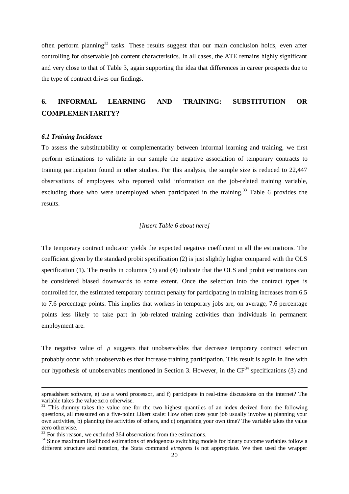often perform planning<sup>32</sup> tasks. These results suggest that our main conclusion holds, even after controlling for observable job content characteristics. In all cases, the ATE remains highly significant and very close to that of Table 3, again supporting the idea that differences in career prospects due to the type of contract drives our findings.

## **6. INFORMAL LEARNING AND TRAINING: SUBSTITUTION OR COMPLEMENTARITY?**

#### *6.1 Training Incidence*

1

To assess the substitutability or complementarity between informal learning and training, we first perform estimations to validate in our sample the negative association of temporary contracts to training participation found in other studies. For this analysis, the sample size is reduced to 22,447 observations of employees who reported valid information on the job-related training variable, excluding those who were unemployed when participated in the training.<sup>33</sup> Table 6 provides the results.

#### *[Insert Table 6 about here]*

The temporary contract indicator yields the expected negative coefficient in all the estimations. The coefficient given by the standard probit specification (2) is just slightly higher compared with the OLS specification (1). The results in columns (3) and (4) indicate that the OLS and probit estimations can be considered biased downwards to some extent. Once the selection into the contract types is controlled for, the estimated temporary contract penalty for participating in training increases from 6.5 to 7.6 percentage points. This implies that workers in temporary jobs are, on average, 7.6 percentage points less likely to take part in job-related training activities than individuals in permanent employment are.

The negative value of  $\rho$  suggests that unobservables that decrease temporary contract selection probably occur with unobservables that increase training participation. This result is again in line with our hypothesis of unobservables mentioned in Section 3. However, in the  $CF<sup>34</sup>$  specifications (3) and

spreadsheet software, e) use a word processor, and f) participate in real-time discussions on the internet? The variable takes the value zero otherwise.

 $32$  This dummy takes the value one for the two highest quantiles of an index derived from the following questions, all measured on a five-point Likert scale: How often does your job usually involve a) planning your own activities, b) planning the activities of others, and c) organising your own time? The variable takes the value zero otherwise.

 $33$  For this reason, we excluded 364 observations from the estimations.

<sup>&</sup>lt;sup>34</sup> Since maximum likelihood estimations of endogenous switching models for binary outcome variables follow a different structure and notation, the Stata command *etregress* is not appropriate. We then used the wrapper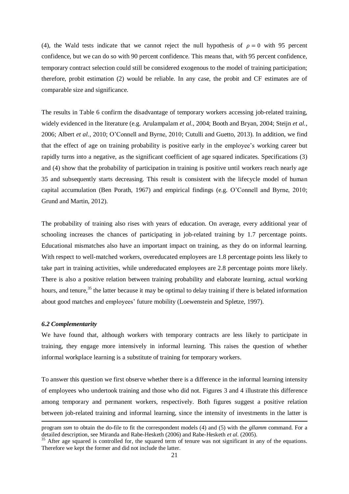(4), the Wald tests indicate that we cannot reject the null hypothesis of  $\rho = 0$  with 95 percent confidence, but we can do so with 90 percent confidence. This means that, with 95 percent confidence, temporary contract selection could still be considered exogenous to the model of training participation; therefore, probit estimation (2) would be reliable. In any case, the probit and CF estimates are of comparable size and significance.

The results in Table 6 confirm the disadvantage of temporary workers accessing job-related training, widely evidenced in the literature (e.g. Arulampalam *et al.*, 2004; Booth and Bryan, 2004; Steijn *et al.*, 2006; Albert *et al.*, 2010; O'Connell and Byrne, 2010; Cutulli and Guetto, 2013). In addition, we find that the effect of age on training probability is positive early in the employee's working career but rapidly turns into a negative, as the significant coefficient of age squared indicates. Specifications (3) and (4) show that the probability of participation in training is positive until workers reach nearly age 35 and subsequently starts decreasing. This result is consistent with the lifecycle model of human capital accumulation (Ben Porath, 1967) and empirical findings (e.g. O'Connell and Byrne, 2010; Grund and Martin, 2012).

The probability of training also rises with years of education. On average, every additional year of schooling increases the chances of participating in job-related training by 1.7 percentage points. Educational mismatches also have an important impact on training, as they do on informal learning. With respect to well-matched workers, overeducated employees are 1.8 percentage points less likely to take part in training activities, while undereducated employees are 2.8 percentage points more likely. There is also a positive relation between training probability and elaborate learning, actual working hours, and tenure,<sup>35</sup> the latter because it may be optimal to delay training if there is belated information about good matches and employees' future mobility (Loewenstein and Spletze, 1997).

#### *6.2 Complementarity*

1

We have found that, although workers with temporary contracts are less likely to participate in training, they engage more intensively in informal learning. This raises the question of whether informal workplace learning is a substitute of training for temporary workers.

To answer this question we first observe whether there is a difference in the informal learning intensity of employees who undertook training and those who did not. Figures 3 and 4 illustrate this difference among temporary and permanent workers, respectively. Both figures suggest a positive relation between job-related training and informal learning, since the intensity of investments in the latter is

program *ssm* to obtain the do-file to fit the correspondent models (4) and (5) with the *gllamm* command. For a detailed description, see Miranda and Rabe-Hesketh (2006) and Rabe-Hesketh *et al.* (2005).

<sup>&</sup>lt;sup>35</sup> After age squared is controlled for, the squared term of tenure was not significant in any of the equations. Therefore we kept the former and did not include the latter.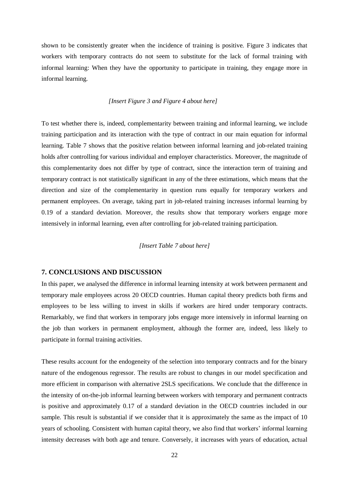shown to be consistently greater when the incidence of training is positive. Figure 3 indicates that workers with temporary contracts do not seem to substitute for the lack of formal training with informal learning: When they have the opportunity to participate in training, they engage more in informal learning.

#### *[Insert Figure 3 and Figure 4 about here]*

To test whether there is, indeed, complementarity between training and informal learning, we include training participation and its interaction with the type of contract in our main equation for informal learning. Table 7 shows that the positive relation between informal learning and job-related training holds after controlling for various individual and employer characteristics. Moreover, the magnitude of this complementarity does not differ by type of contract, since the interaction term of training and temporary contract is not statistically significant in any of the three estimations, which means that the direction and size of the complementarity in question runs equally for temporary workers and permanent employees. On average, taking part in job-related training increases informal learning by 0.19 of a standard deviation. Moreover, the results show that temporary workers engage more intensively in informal learning, even after controlling for job-related training participation.

#### *[Insert Table 7 about here]*

#### **7. CONCLUSIONS AND DISCUSSION**

In this paper, we analysed the difference in informal learning intensity at work between permanent and temporary male employees across 20 OECD countries. Human capital theory predicts both firms and employees to be less willing to invest in skills if workers are hired under temporary contracts. Remarkably, we find that workers in temporary jobs engage more intensively in informal learning on the job than workers in permanent employment, although the former are, indeed, less likely to participate in formal training activities.

These results account for the endogeneity of the selection into temporary contracts and for the binary nature of the endogenous regressor. The results are robust to changes in our model specification and more efficient in comparison with alternative 2SLS specifications. We conclude that the difference in the intensity of on-the-job informal learning between workers with temporary and permanent contracts is positive and approximately 0.17 of a standard deviation in the OECD countries included in our sample. This result is substantial if we consider that it is approximately the same as the impact of 10 years of schooling. Consistent with human capital theory, we also find that workers' informal learning intensity decreases with both age and tenure. Conversely, it increases with years of education, actual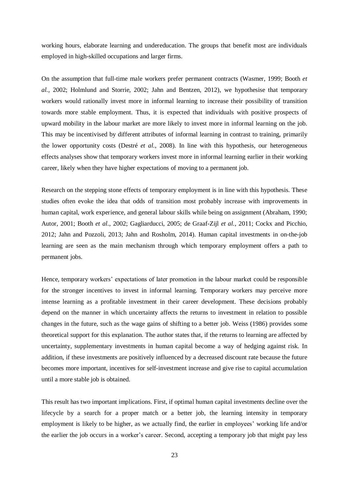working hours, elaborate learning and undereducation. The groups that benefit most are individuals employed in high-skilled occupations and larger firms.

On the assumption that full-time male workers prefer permanent contracts (Wasmer, 1999; Booth *et al.*, 2002; Holmlund and Storrie, 2002; Jahn and Bentzen, 2012), we hypothesise that temporary workers would rationally invest more in informal learning to increase their possibility of transition towards more stable employment. Thus, it is expected that individuals with positive prospects of upward mobility in the labour market are more likely to invest more in informal learning on the job. This may be incentivised by different attributes of informal learning in contrast to training, primarily the lower opportunity costs (Destré *et al.*, 2008). In line with this hypothesis, our heterogeneous effects analyses show that temporary workers invest more in informal learning earlier in their working career, likely when they have higher expectations of moving to a permanent job.

Research on the stepping stone effects of temporary employment is in line with this hypothesis. These studies often evoke the idea that odds of transition most probably increase with improvements in human capital, work experience, and general labour skills while being on assignment (Abraham, 1990; Autor, 2001; Booth *et al.*, 2002; Gagliarducci, 2005; de Graaf-Zijl *et al.*, 2011; Cockx and Picchio, 2012; Jahn and Pozzoli, 2013; Jahn and [Rosholm,](http://www.sciencedirect.com/science/article/pii/S0014292113001372) 2014). Human capital investments in on-the-job learning are seen as the main mechanism through which temporary employment offers a path to permanent jobs.

Hence, temporary workers' expectations of later promotion in the labour market could be responsible for the stronger incentives to invest in informal learning. Temporary workers may perceive more intense learning as a profitable investment in their career development. These decisions probably depend on the manner in which uncertainty affects the returns to investment in relation to possible changes in the future, such as the wage gains of shifting to a better job. Weiss (1986) provides some theoretical support for this explanation. The author states that, if the returns to learning are affected by uncertainty, supplementary investments in human capital become a way of hedging against risk. In addition, if these investments are positively influenced by a decreased discount rate because the future becomes more important, incentives for self-investment increase and give rise to capital accumulation until a more stable job is obtained.

This result has two important implications. First, if optimal human capital investments decline over the lifecycle by a search for a proper match or a better job, the learning intensity in temporary employment is likely to be higher, as we actually find, the earlier in employees' working life and/or the earlier the job occurs in a worker's career. Second, accepting a temporary job that might pay less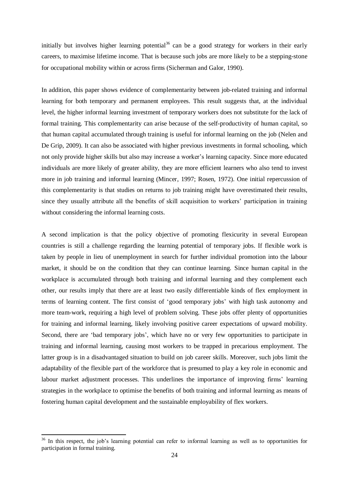initially but involves higher learning potential<sup>36</sup> can be a good strategy for workers in their early careers, to maximise lifetime income. That is because such jobs are more likely to be a stepping-stone for occupational mobility within or across firms (Sicherman and Galor, 1990).

In addition, this paper shows evidence of complementarity between job-related training and informal learning for both temporary and permanent employees. This result suggests that, at the individual level, the higher informal learning investment of temporary workers does not substitute for the lack of formal training. This complementarity can arise because of the self-productivity of human capital, so that human capital accumulated through training is useful for informal learning on the job (Nelen and De Grip, 2009). It can also be associated with higher previous investments in formal schooling, which not only provide higher skills but also may increase a worker's learning capacity. Since more educated individuals are more likely of greater ability, they are more efficient learners who also tend to invest more in job training and informal learning (Mincer, 1997; Rosen, 1972). One initial repercussion of this complementarity is that studies on returns to job training might have overestimated their results, since they usually attribute all the benefits of skill acquisition to workers' participation in training without considering the informal learning costs.

A second implication is that the policy objective of promoting flexicurity in several European countries is still a challenge regarding the learning potential of temporary jobs. If flexible work is taken by people in lieu of unemployment in search for further individual promotion into the labour market, it should be on the condition that they can continue learning. Since human capital in the workplace is accumulated through both training and informal learning and they complement each other, our results imply that there are at least two easily differentiable kinds of flex employment in terms of learning content. The first consist of 'good temporary jobs' with high task autonomy and more team-work, requiring a high level of problem solving. These jobs offer plenty of opportunities for training and informal learning, likely involving positive career expectations of upward mobility. Second, there are 'bad temporary jobs', which have no or very few opportunities to participate in training and informal learning, causing most workers to be trapped in precarious employment. The latter group is in a disadvantaged situation to build on job career skills. Moreover, such jobs limit the adaptability of the flexible part of the workforce that is presumed to play a key role in economic and labour market adjustment processes. This underlines the importance of improving firms' learning strategies in the workplace to optimise the benefits of both training and informal learning as means of fostering human capital development and the sustainable employability of flex workers.

**.** 

<sup>&</sup>lt;sup>36</sup> In this respect, the job's learning potential can refer to informal learning as well as to opportunities for participation in formal training.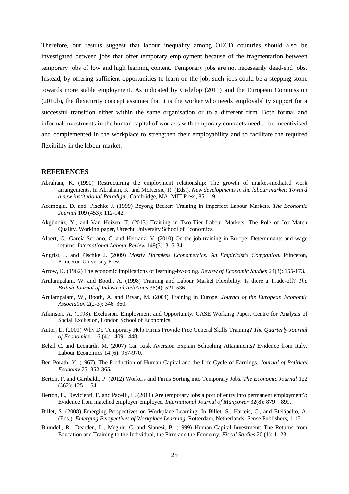Therefore, our results suggest that labour inequality among OECD countries should also be investigated between jobs that offer temporary employment because of the fragmentation between temporary jobs of low and high learning content. Temporary jobs are not necessarily dead-end jobs. Instead, by offering sufficient opportunities to learn on the job, such jobs could be a stepping stone towards more stable employment. As indicated by Cedefop (2011) and the European Commission (2010b), the flexicurity concept assumes that it is the worker who needs employability support for a successful transition either within the same organisation or to a different firm. Both formal and informal investments in the human capital of workers with temporary contracts need to be incentivised and complemented in the workplace to strengthen their employability and to facilitate the required flexibility in the labour market.

#### **REFERENCES**

- Abraham, K. (1990) Restructuring the employment relationship: The growth of market-mediated work arrangements. In Abraham, K. and McKersie, R. (Eds.), *New developments in the labour market: Toward a new institutional Paradigm*. Cambridge, MA, MIT Press, 85-119.
- Acemoglu, D. and. Pischke J. (1999) Beyong Becker: Training in imperfect Labour Markets. *The Economic Journal* 109 (453): 112-142.
- Akgündüz, Y., and Van Huizen, T. (2013) Training in Two-Tier Labour Markets: The Role of Job Match Quality. Working paper, Utrecht University School of Economics.
- Albert, C., García-Serrano, C. and Hernanz, V. (2010) On-the-job training in Europe: Determinants and wage returns. *International Labour Review* 149(3): 315-341.
- Angrist, J. and Pischke J. (2009) *Mostly Harmless Econometrics: An Empiricist's Companion*. Princeton, Princeton University Press.
- Arrow, K. (1962) The economic implications of learning-by-doing. *Review of Economic Studies* 24(3): 155-173.
- Arulampalam, W. and Booth, A. (1998) Training and Labour Market Flexibility: Is there a Trade-off? *The British Journal of Industrial Relations* 36(4): 521-536.
- Arulampalam, W., Booth, A. and Bryan, M. (2004) Training in Europe. *Journal of the European Economic Association* 2(2-3): 346–360.
- Atkinson, A. (1998). Exclusion, Employment and Opportunity. CASE Working Paper, Centre for Analysis of Social Exclusion, London School of Economics.
- Autor, D. (2001) Why Do Temporary Help Firms Provide Free General Skills Training? *The Quarterly Journal of Economics* 116 (4): 1409-1448.
- Belzil C. and Leonardi, M. (2007) Can Risk Aversion Explain Schooling Attainments? Evidence from Italy. Labour Economics 14 (6): 957-970.
- Ben-Porath, Y. (1967). The Production of Human Capital and the Life Cycle of Earnings. *Journal of Political Economy* 75: 352-365.
- Berton, F. and Garibaldi, P. (2012) Workers and Firms Sorting into Temporary Jobs. *The Economic Journal* [122](http://onlinelibrary.wiley.com/doi/10.1111/ecoj.2012.122.issue-562/issuetoc) [\(562\): 1](http://onlinelibrary.wiley.com/doi/10.1111/ecoj.2012.122.issue-562/issuetoc)25 - 154.
- [Berton,](http://www.emeraldinsight.com/action/doSearch?ContribStored=Berton%2C+F) F., Devicienti, F. and [Pacelli,](http://www.emeraldinsight.com/action/doSearch?ContribStored=Pacelli%2C+L) L. (2011) Are temporary jobs a port of entry into permanent employment?: Evidence from matched employer‐employee. *International Journal of Manpower* 32(8): 879 – 899.
- Billet, S. (2008) Emerging Perspectives on Workplace Learning. In Billet, S., Harteis, C., and Eteläpelto, A. (Eds.), *Emerging Perspectives of Workplace Learning*. Rotterdam, Netherlands, Sense Publishers, 1-15.
- Blundell, R., Dearden, L., Meghir, C. and Sianesi, B. (1999) Human Capital Investment: The Returns from Education and Training to the Individual, the Firm and the Economy*. Fiscal Studies* 20 (1): 1- 23.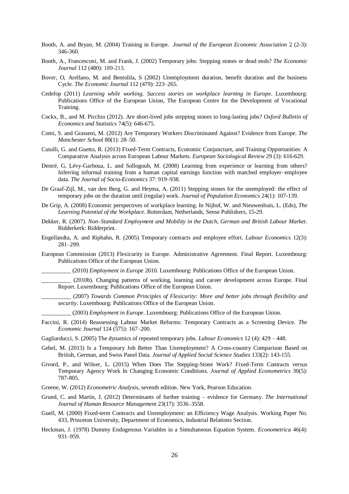- Booth, A. and Bryan, M. (2004) Training in Europe. *[Journal of the European Economic Association](http://ideas.repec.org/s/tpr/jeurec.html)* 2 (2-3): 346-360.
- Booth, A., Francesconi, M. and Frank, J. (2002) Temporary jobs: Stepping stones or dead ends? *The Economic Journal* 112 (480): 189-213.
- Bover, O, Arellano, M. and Bentolila, S (2002) Unemployment duration, benefit duration and the business Cycle. *The Economic Journal* 112 (479): 223–265.
- Cedefop (2011) *Learning while working. Success stories on workplace learning in Europe*. Luxembourg: Publications Office of the European Union, The European Centre for the Development of Vocational Training.
- Cockx, B., and M. Picchio (2012). Are short-lived jobs stepping stones to long-lasting jobs? *Oxford Bulletin of Economics and Statistics* 74(5): 646-675.
- Comi, S. and Grasseni, M. (2012) Are Temporary Workers Discriminated Against? Evidence from Europe. *The Manchester School* 80(1): 28–50.
- Cutulli, G. and Guetto, R. (2013) Fixed-Term Contracts, Economic Conjuncture, and Training Opportunities: A Comparative Analysis across European Labour Markets. *European Sociological Review* 29 (3): 616-629.
- Destré, G, Lévy-Garboua, L. and Sollogoub, M. (2008) Learning from experience or learning from others? Inferring informal training from a human capital earnings function with matched employer–employee data. *The Journal of Socio-Economics* 37: 919–938.
- De Graaf-Zijl, M., van den Berg, G. and Heyma, A. (2011) Stepping stones for the unemployed: the effect of temporary jobs on the duration until (regular) work. *[Journal of Population Economics](http://ideas.repec.org/s/spr/jopoec.html)* 24(1): 107-139.
- De Grip, A. (2008) Economic perspectives of workplace learning. In Nijhof, W. and Nieuwenhuis, L. (Eds), *The Learning Potential of the Workplace*. Rotterdam, Netherlands, Sense Publishers, 15-29.
- Dekker, R. (2007). *Non–Standard Employment and Mobility in the Dutch, German and British Labour Market*. Ridderkerk: Ridderprint.
- Engellandta, A. and Riphahn, R. (2005) Temporary contracts and employee effort. *Labour Economics* 12(3): 281–299.
- European Commission (2013) Flexicurity in Europe. Administrative Agreement. Final Report. Luxembourg: Publications Office of the European Union.

\_\_\_\_\_\_\_\_\_\_ (2010) *Employment in Europe* 2010. Luxembourg: Publications Office of the European Union.

\_\_\_\_\_\_\_\_\_\_ (2010b). Changing patterns of working, learning and career development across Europe. Final Report. Luxembourg: Publications Office of the European Union.

\_\_\_\_\_\_\_\_\_\_ (2007) *Towards Common Principles of Flexicurity: More and better jobs through flexibility and security*. Luxembourg: Publications Office of the European Union.

- \_\_\_\_\_\_\_\_\_\_ (2003) *Employment in Europe*. Luxembourg: Publications Office of the European Union.
- Faccini, R. (2014) Reassessing Labour Market Reforms: Temporary Contracts as a Screening Device. *The Economic Journal* 124 (575): 167–200.
- Gagliarducci, S. (2005) The dynamics of repeated temporary jobs. *Labour Economics* 12 (4): 429 448.
- Gebel, M. (2013) Is a Temporary Job Better Than Unemployment? A Cross-country Comparison Based on British, German, and Swiss Panel Data. *Journal of Applied Social Science Studies* 133(2): 143-155.
- Givord, P., and Wilner, L. (2015) When Does The Stepping-Stone Work? Fixed-Term Contracts versus Temporary Agency Work In Changing Economic Conditions. *Journal of Applied Econometrics* 30(5): 787-805.
- Greene, W. (2012) *Econometric Analysis*, seventh edition. New York, Pearson Education.
- Grund, C. and Martin, J. (2012) Determinants of further training evidence for Germany. *The International Journal of Human Resource Management* 23(17): 3536–3558.
- Guell, M. (2000) Fixed-term Contracts and Unemployment: an Efficiency Wage Analysis. Working Paper No. 433, Princeton University, Department of Economics, Industrial Relations Section.
- Heckman, J. (1978) Dummy Endogenous Variables in a Simultaneous Equation System. *Econometrica* 46(4): 931–959.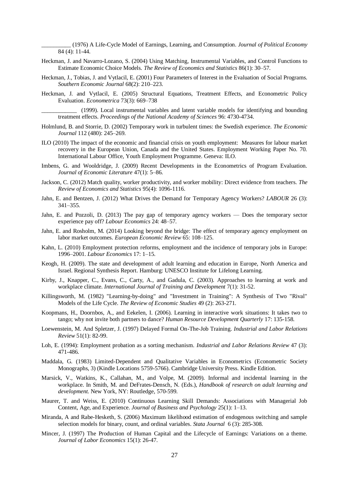\_\_\_\_\_\_\_\_\_\_ (1976) A Life-Cycle Model of Earnings, Learning, and Consumption. *Journal of Political Economy* 84 (4): 11-44.

- Heckman, J. and Navarro-Lozano, S. (2004) Using Matching, Instrumental Variables, and Control Functions to Estimate Economic Choice Models. *The Review of Economics and Statistics* 86(1): 30–57.
- Heckman, J., Tobias, J. and Vytlacil, E. (2001) Four Parameters of Interest in the Evaluation of Social Programs. *Southern Economic Journal* 68(2): 210–223.
- Heckman, J. and Vytlacil, E. (2005) Structural Equations, Treatment Effects, and Econometric Policy Evaluation. *Econometrica* 73(3): 669–738

\_\_\_\_\_\_\_\_\_\_\_\_ (1999). Local instrumental variables and latent variable models for identifying and bounding treatment effects. *Proceedings of the National Academy of Sciences* 96: 4730-4734.

- Holmlund, B. and Storrie, D. (2002) Temporary work in turbulent times: the Swedish experience. *The Economic Journal* 112 (480): 245–269.
- ILO (2010) The impact of the economic and financial crisis on youth employment: Measures for labour market recovery in the European Union, Canada and the United States. Employment Working Paper No. 70. International Labour Office, Youth Employment Programme. Geneva: ILO.
- Imbens, G. and Wooldridge, J. (2009) Recent Developments in the Econometrics of Program Evaluation. *Journal of Economic Literature* 47(1): 5–86.
- Jackson, C. (2012) Match quality, worker productivity, and worker mobility: Direct evidence from teachers. *[The](http://ideas.repec.org/s/tpr/restat.html)  [Review of Economics and Statistics](http://ideas.repec.org/s/tpr/restat.html)* 95(4): 1096-1116.
- Jahn, E. and Bentzen, J. (2012) What Drives the Demand for Temporary Agency Workers? *LABOUR* 26 (3): 341–355.
- Jahn, E. and Pozzoli, D. (2013) The pay gap of temporary agency workers Does the temporary sector experience pay off? *Labour Economics* 24: 48–57.
- Jahn, E. and Rosholm, M. (2014) Looking beyond the bridge: The effect of temporary agency employment on labor market outcomes. *European Economic Review* 65: 108–125.
- Kahn, L. (2010) Employment protection reforms, employment and the incidence of temporary jobs in Europe: 1996–2001. *Labour Economics* 17: 1–15.
- Keogh, H. (2009). The state and development of adult learning and education in Europe, North America and Israel. Regional Synthesis Report. Hamburg: UNESCO Institute for Lifelong Learning.
- Kirby, J., Knapper, C., Evans, C., Carty, A., and Gadula, C. (2003). Approaches to learning at work and workplace climate. *International Journal of Training and Development* 7(1): 31-52.
- Killingsworth, M. (1982) "Learning-by-doing" and "Investment in Training": A Synthesis of Two "Rival" Models of the Life Cycle. *The Review of Economic Studies* 49 (2): 263-271.
- Koopmans, H., Doornbos, A., and Eekelen, I. (2006). Learning in interactive work situations: It takes two to tango; why not invite both partners to dance? *Human Resource Development Quarterly* 17: 135-158.
- Loewenstein, M. And Spletzer, J. (1997) Delayed Formal On-The-Job Training. *Industrial and Labor Relations Review* 51(1): 82-99.
- Loh, E. (1994): Employment probation as a sorting mechanism. *Industrial and Labor Relations Review* 47 (3): 471-486.
- Maddala, G. (1983) Limited-Dependent and Qualitative Variables in Econometrics (Econometric Society Monographs, 3) (Kindle Locations 5759-5766). Cambridge University Press. Kindle Edition.
- Marsick, V., Watkins, K., Callahan, M., and Volpe, M. (2009). Informal and incidental learning in the workplace. In Smith, M. and DeFrates-Densch, N. (Eds.), *Handbook of research on adult learning and development.* New York, NY: Routledge, 570-599.
- Maurer, T. and Weiss, E. (2010) Continuous Learning Skill Demands: Associations with Managerial Job Content, Age, and Experience. *Journal of Business and Psychology* 25(1): 1–13.
- Miranda, A and Rabe-Hesketh, S. (2006) Maximum likelihood estimation of endogenous switching and sample selection models for binary, count, and ordinal variables. *Stata Journal* 6 (3): 285-308.
- Mincer, J. (1997) The Production of Human Capital and the Lifecycle of Earnings: Variations on a theme. *Journal of Labor Economics* 15(1): 26-47.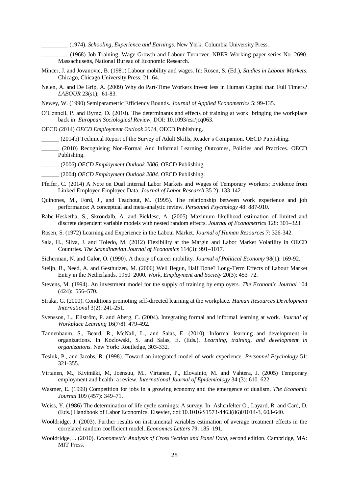\_\_\_\_\_\_\_\_\_ (1974). *Schooling, Experience and Earnings*. New York: Columbia University Press.

(1968) Job Training, Wage Growth and Labour Turnover. NBER Working paper series No. 2690. Massachusetts, National Bureau of Economic Research.

- Mincer, J. and Jovanovic, B. (1981) Labour mobility and wages. In: Rosen, S. (Ed.), *Studies in Labour Markets*. Chicago, Chicago University Press, 21–64.
- Nelen, A. and De Grip, A. (2009) Why do Part-Time Workers invest less in Human Capital than Full Timers? *LABOUR* 23(s1): 61-83.
- Newey, W. (1990) Semiparametric Efficiency Bounds. *Journal of Applied Econometrics* 5: 99-135.
- O'Connell, P. and Byrne, D. (2010). The determinants and effects of training at work: bringing the workplace back in. *European Sociological Review*, DOI: 10.1093/esr/jcq063.
- OECD (2014) *OECD Employment Outlook 2014*, OECD Publishing.
	- \_\_\_\_\_\_ (2014b) Technical Report of the Survey of Adult Skills, Reader's Companion. OECD Publishing.
	- \_\_\_\_\_\_ (2010) Recognising Non-Formal And Informal Learning Outcomes, Policies and Practices. OECD Publishing.
- \_\_\_\_\_\_ (2006) *OECD Employment Outlook 2006*. OECD Publishing.
- \_\_\_\_\_\_ (2004) *OECD Employment Outlook 2004*. OECD Publishing.
- [Pfeifer,](http://link.springer.com/search?facet-author=%22Christian+Pfeifer%22) C. (2014) A Note on Dual Internal Labor Markets and Wages of Temporary Workers: Evidence from Linked-Employer-Employee Data. *[Journal of Labor Research](http://link.springer.com/journal/12122)* 35 2): 133-142.
- Quinones, M., Ford, J., and Teachout, M. (1995). The relationship between work experience and job performance: A conceptual and meta-analytic review. *Personnel Psychology* 48: 887-910.
- Rabe-Hesketha, S., Skrondalb, A. and Picklesc, A. (2005) Maximum likelihood estimation of limited and discrete dependent variable models with nested random effects. *Journal of Econometrics* 128: 301–323.
- Rosen, S. (1972) Learning and Experience in the Labour Market. *Journal of Human Resources* 7: 326-342.
- Sala, H., Silva, J. and Toledo, M. (2012) Flexibility at the Margin and Labor Market Volatility in OECD Countries. *The Scandinavian Journal of Economics* 114(3): 991–1017.
- Sicherman, N. and Galor, O. (1990). A theory of career mobility. *Journal of Political Economy* 98(1): 169-92.
- Steijn, B., Need, A. and Gesthuizen, M. (2006) Well Begun, Half Done? Long-Term Effects of Labour Market Entry in the Netherlands, 1950–2000. *Work, Employment and Society* 20(3): 453–72.
- Stevens, M. (1994). An investment model for the supply of training by employers. *The Economic Journal* 104 (424): 556–570.
- Straka, G. (2000). Conditions promoting self-directed learning at the workplace. *Human Resources Development International* 3(2): 241-251.
- Svensson, L., Ellström, P. and Aberg, C. (2004). Integrating formal and informal learning at work. *Journal of Workplace Learning* 16(7/8): 479-492.
- Tannenbaum, S., Beard, R., McNall, L., and Salas, E. (2010). Informal learning and development in organizations. In Kozlowski, S. and Salas, E. (Eds.), *Learning, training, and development in organizations.* New York: Routledge, 303-332.
- Tesluk, P., and Jacobs, R. (1998). Toward an integrated model of work experience. *Personnel Psychology* 51: 321-355.
- Virtanen, M., Kivimäki, M, Joensuu, M., Virtanen, P., Elovainio, M. and Vahtera, J. (2005) Temporary employment and health: a review. *International Journal of Epidemiology* 34 (3): 610–622
- Wasmer, E. (1999) Competition for jobs in a growing economy and the emergence of dualism. *The Economic Journal* 109 (457): 349–71.
- Weiss, Y. (1986) The determination of life cycle earnings: A survey. In Ashenfelter O., Layard, R. and Card, D. (Eds.) Handbook of Labor Economics. Elsevier, doi:10.1016/S1573-4463(86)01014-3, 603-640.
- Wooldridge, J. (2003). Further results on instrumental variables estimation of average treatment effects in the correlated random coefficient model. *Economics Letters* 79: 185–191.
- Wooldridge, J. (2010). *Econometric Analysis of Cross Section and Panel Data*, second edition. Cambridge, MA: MIT Press.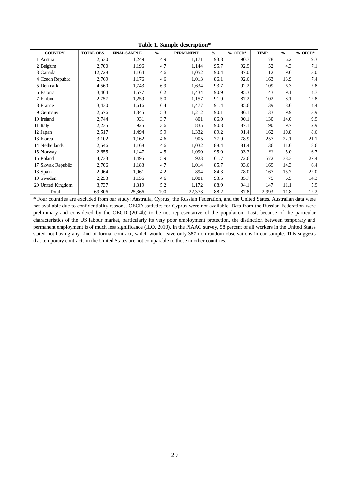| <b>COUNTRY</b>     | TOTAL OBS. | <b>FINAL SAMPLE</b> | $\frac{0}{0}$ | <b>PERMANENT</b> | $\frac{0}{0}$ | $%$ OECD* | <b>TEMP</b> | $\frac{0}{0}$ | $%$ OECD* |
|--------------------|------------|---------------------|---------------|------------------|---------------|-----------|-------------|---------------|-----------|
| 1 Austria          | 2,530      | 1,249               | 4.9           | 1,171            | 93.8          | 90.7      | 78          | 6.2           | 9.3       |
| 2 Belgium          | 2,700      | 1,196               | 4.7           | 1,144            | 95.7          | 92.9      | 52          | 4.3           | 7.1       |
| 3 Canada           | 12,728     | 1,164               | 4.6           | 1,052            | 90.4          | 87.0      | 112         | 9.6           | 13.0      |
| 4 Czech Republic   | 2,769      | 1,176               | 4.6           | 1,013            | 86.1          | 92.6      | 163         | 13.9          | 7.4       |
| 5 Denmark          | 4,560      | 1,743               | 6.9           | 1,634            | 93.7          | 92.2      | 109         | 6.3           | 7.8       |
| 6 Estonia          | 3,464      | 1,577               | 6.2           | 1,434            | 90.9          | 95.3      | 143         | 9.1           | 4.7       |
| 7 Finland          | 2,757      | 1,259               | 5.0           | 1,157            | 91.9          | 87.2      | 102         | 8.1           | 12.8      |
| 8 France           | 3,430      | 1,616               | 6.4           | 1,477            | 91.4          | 85.6      | 139         | 8.6           | 14.4      |
| 9 Germany          | 2,676      | 1,345               | 5.3           | 1,212            | 90.1          | 86.1      | 133         | 9.9           | 13.9      |
| 10 Ireland         | 2,744      | 931                 | 3.7           | 801              | 86.0          | 90.1      | 130         | 14.0          | 9.9       |
| 11 Italy           | 2,235      | 925                 | 3.6           | 835              | 90.3          | 87.1      | 90          | 9.7           | 12.9      |
| 12 Japan           | 2,517      | 1,494               | 5.9           | 1,332            | 89.2          | 91.4      | 162         | 10.8          | 8.6       |
| 13 Korea           | 3,102      | 1,162               | 4.6           | 905              | 77.9          | 78.9      | 257         | 22.1          | 21.1      |
| 14 Netherlands     | 2,546      | 1,168               | 4.6           | 1,032            | 88.4          | 81.4      | 136         | 11.6          | 18.6      |
| 15 Norway          | 2,655      | 1,147               | 4.5           | 1,090            | 95.0          | 93.3      | 57          | 5.0           | 6.7       |
| 16 Poland          | 4,733      | 1,495               | 5.9           | 923              | 61.7          | 72.6      | 572         | 38.3          | 27.4      |
| 17 Slovak Republic | 2,706      | 1,183               | 4.7           | 1,014            | 85.7          | 93.6      | 169         | 14.3          | 6.4       |
| 18 Spain           | 2,964      | 1,061               | 4.2           | 894              | 84.3          | 78.0      | 167         | 15.7          | 22.0      |
| 19 Sweden          | 2,253      | 1,156               | 4.6           | 1,081            | 93.5          | 85.7      | 75          | 6.5           | 14.3      |
| 20 United Kingdom  | 3,737      | 1,319               | 5.2           | 1,172            | 88.9          | 94.1      | 147         | 11.1          | 5.9       |
| Total              | 69,806     | 25,366              | 100           | 22,373           | 88.2          | 87.8      | 2,993       | 11.8          | 12.2      |

**Table 1. Sample description\***

\* Four countries are excluded from our study: Australia, Cyprus, the Russian Federation, and the United States. Australian data were not available due to confidentiality reasons. OECD statistics for Cyprus were not available. Data from the Russian Federation were preliminary and considered by the OECD (2014b) to be not representative of the population. Last, because of the particular characteristics of the US labour market, particularly its very poor employment protection, the distinction between temporary and permanent employment is of much less significance (ILO, 2010). In the PIAAC survey, 58 percent of all workers in the United States stated not having any kind of formal contract, which would leave only 387 non-random observations in our sample. This suggests that temporary contracts in the United States are not comparable to those in other countries.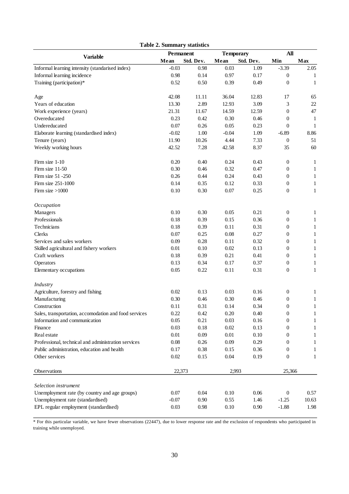| <b>Table 2. Summary statistics</b>                    |                   |           |                  |           |                  |              |
|-------------------------------------------------------|-------------------|-----------|------------------|-----------|------------------|--------------|
| <b>Variable</b>                                       | Permanent         |           | <b>Temporary</b> |           | All              |              |
|                                                       | Std. Dev.<br>Mean |           | Mean             | Std. Dev. | Min              | Max          |
| Informal learning intensity (standarised index)       | $-0.03$           | 0.98      | 0.03             | 1.09      | $-3.39$          | 2.05         |
| Informal learning incidence                           | 0.98              | 0.14      | 0.97             | 0.17      | $\theta$         | 1            |
| Training (participation)*                             | 0.52              | 0.50      | 0.39             | 0.49      | $\overline{0}$   | 1            |
| Age                                                   | 42.08             | $11.11\,$ | 36.04            | 12.83     | 17               | 65           |
| Years of education                                    | 13.30             | 2.89      | 12.93            | 3.09      | 3                | $22\,$       |
| Work experience (years)                               | 21.31             | 11.67     | 14.59            | 12.59     | $\overline{0}$   | 47           |
| Overeducated                                          | 0.23              | 0.42      | 0.30             | 0.46      | $\boldsymbol{0}$ | $\mathbf{1}$ |
| Undereducated                                         | 0.07              | 0.26      | 0.05             | 0.23      | $\overline{0}$   | $\mathbf{1}$ |
| Elaborate learning (standardised index)               | $-0.02$           | 1.00      | $-0.04$          | 1.09      | $-6.89$          | 8.86         |
| Tenure (years)                                        | 11.90             | 10.26     | 4.44             | 7.33      | $\boldsymbol{0}$ | 51           |
| Weekly working hours                                  | 42.52             | 7.28      | 42.58            | 8.37      | 35               | 60           |
| Firm size 1-10                                        | 0.20              | 0.40      | 0.24             | 0.43      | $\boldsymbol{0}$ | $\mathbf{1}$ |
| Firm size 11-50                                       | 0.30              | 0.46      | 0.32             | 0.47      | $\boldsymbol{0}$ | $\mathbf{1}$ |
| Firm size 51 -250                                     | 0.26              | 0.44      | 0.24             | 0.43      | $\boldsymbol{0}$ | $\mathbf{1}$ |
| Firm size 251-1000                                    | 0.14              | 0.35      | 0.12             | 0.33      | $\boldsymbol{0}$ | $\mathbf{1}$ |
| Firm size $>1000$                                     | 0.10              | 0.30      | 0.07             | 0.25      | $\overline{0}$   | $\mathbf{1}$ |
| Occupation                                            |                   |           |                  |           |                  |              |
| Managers                                              | 0.10              | 0.30      | 0.05             | 0.21      | $\boldsymbol{0}$ | $\mathbf{1}$ |
| Professionals                                         | 0.18              | 0.39      | 0.15             | 0.36      | $\boldsymbol{0}$ | $\mathbf{1}$ |
| Technicians                                           | 0.18              | 0.39      | 0.11             | 0.31      | $\theta$         | $\mathbf{1}$ |
| Clerks                                                | 0.07              | 0.25      | 0.08             | 0.27      | $\theta$         | $\mathbf{1}$ |
| Services and sales workers                            | 0.09              | 0.28      | 0.11             | 0.32      | $\boldsymbol{0}$ | $\,1$        |
| Skilled agricultural and fishery workers              | 0.01              | 0.10      | 0.02             | 0.13      | $\boldsymbol{0}$ | $\mathbf{1}$ |
| Craft workers                                         | 0.18              | 0.39      | 0.21             | 0.41      | $\theta$         | $\mathbf{1}$ |
| Operators                                             | 0.13              | 0.34      | 0.17             | 0.37      | $\boldsymbol{0}$ | $\mathbf{1}$ |
| Elementary occupations                                | 0.05              | 0.22      | 0.11             | 0.31      | $\boldsymbol{0}$ | $\mathbf{1}$ |
| Industry                                              |                   |           |                  |           |                  |              |
| Agriculture, forestry and fishing                     | 0.02              | 0.13      | 0.03             | 0.16      | $\boldsymbol{0}$ | $\mathbf{1}$ |
| Manufacturing                                         | 0.30              | 0.46      | 0.30             | 0.46      | $\overline{0}$   | $\mathbf{1}$ |
| Construction                                          | 0.11              | 0.31      | 0.14             | 0.34      | $\boldsymbol{0}$ | 1            |
| Sales, transportation, accomodation and food services | 0.22              | 0.42      | 0.20             | 0.40      | 0                | 1            |
| Information and communication                         | 0.05              | 0.21      | 0.03             | 0.16      | $\boldsymbol{0}$ | 1            |
| Finance                                               | 0.03              | 0.18      | $0.02\,$         | 0.13      | $\boldsymbol{0}$ | 1            |
| Real estate                                           | 0.01              | 0.09      | 0.01             | 0.10      | $\theta$         | 1            |
| Professional, technical and administration services   | 0.08              | 0.26      | 0.09             | 0.29      | $\theta$         | 1            |
| Public administration, education and health           | 0.17              | 0.38      | 0.15             | 0.36      | $\theta$         | 1            |
| Other services                                        | $0.02\,$          | 0.15      | 0.04             | 0.19      | $\theta$         | 1            |
| Observations                                          | 22,373            |           | 2,993            |           | 25,366           |              |
| Selection instrument                                  |                   |           |                  |           |                  |              |
| Unemployment rate (by country and age groups)         | 0.07              | 0.04      | 0.10             | 0.06      | $\boldsymbol{0}$ | 0.57         |
| Unemployment rate (standardised)                      | $-0.07$           | 0.90      | 0.55             | 1.46      | $-1.25$          | 10.63        |
| EPL regular employment (standardised)                 | 0.03              | 0.98      | 0.10             | $0.90\,$  | $-1.88$          | 1.98         |

\* For this particular variable, we have fewer observations (22447), due to lower response rate and the exclusion of respondents who participated in training while unemployed.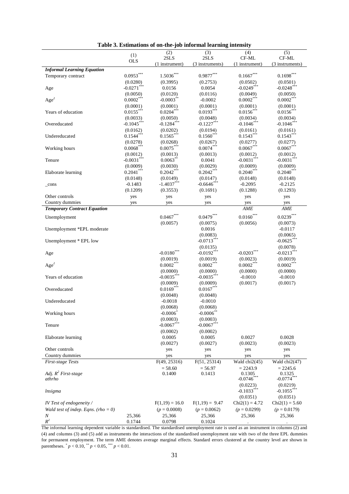|                                     |               | (2)              | (3)              | (4)                   | (5)              |
|-------------------------------------|---------------|------------------|------------------|-----------------------|------------------|
|                                     | (1)           | 2SLS             | $2{\rm SLS}$     | CF-ML                 | CF-ML            |
|                                     | <b>OLS</b>    | (1 instrument)   | (3 instruments)  | (1 instrument)        | (3 instruments)  |
| <b>Informal Learning Equation</b>   |               |                  |                  |                       |                  |
|                                     |               |                  |                  |                       |                  |
| Temporary contract                  | $0.0953***$   | $1.5036***$      | $0.9877***$      | $0.1667***$           | $0.1698***$      |
|                                     | (0.0280)      | (0.3995)         | (0.2753)         | (0.0502)              | (0.0501)         |
| Age                                 | $-0.0271$ *** | 0.0156           | 0.0054           | $-0.0249$ ***         | $-0.0248$ ***    |
|                                     | (0.0050)      | (0.0120)         | (0.0116)         | (0.0049)              | (0.0050)         |
| Age <sup>2</sup>                    | $0.0002***$   | $-0.0003***$     | $-0.0002$        | $0.0002***$           | $0.0002***$      |
|                                     |               |                  |                  |                       |                  |
|                                     | (0.0001)      | (0.0001)         | (0.0001)         | (0.0001)              | (0.0001)         |
| Years of education                  | $0.0155***$   | $0.0204***$      | $0.0193***$      | $0.0156***$           | $0.0156***$      |
|                                     | (0.0033)      | (0.0050)         | (0.0048)         | (0.0034)              | (0.0034)         |
| Overeducated                        | $-0.1045***$  | $-0.1284$ ***    | $-0.1227***$     | $-0.1046$ ***         | $-0.1046$ ***    |
|                                     | (0.0162)      | (0.0202)         | (0.0194)         | (0.0161)              | (0.0161)         |
|                                     | $0.1544***$   | $0.1565***$      | $0.1560***$      | $0.1543***$           | $0.1543***$      |
| Undereducated                       |               |                  |                  |                       |                  |
|                                     | (0.0278)      | (0.0268)         | (0.0267)         | (0.0277)              | (0.0277)         |
| Working hours                       | $0.0068***$   | $0.0075***$      | $0.0074***$      | $0.0067***$           | $0.0067***$      |
|                                     | (0.0012)      | (0.0013)         | (0.0013)         | (0.0012)              | (0.0012)         |
| Tenure                              | $-0.0031$ *** | $0.0063$ **      | 0.0041           | $-0.0031***$          | $-0.0031***$     |
|                                     | (0.0009)      | (0.0030)         | (0.0029)         | (0.0009)              | (0.0009)         |
|                                     | $0.2041***$   |                  |                  |                       |                  |
| Elaborate learning                  |               | $0.2042***$      | $0.2042***$      | $0.2040***$           | $0.2040***$      |
|                                     | (0.0148)      | (0.0149)         | (0.0147)         | (0.0148)              | (0.0148)         |
| _cons                               | $-0.1483$     | $-1.4037***$     | $-0.6646$ ***    | $-0.2095$             | $-0.2125$        |
|                                     | (0.1209)      | (0.3553)         | (0.1691)         | (0.1288)              | (0.1293)         |
| Other controls                      | yes           | yes              | yes              | yes                   | yes              |
|                                     |               |                  |                  |                       |                  |
| Country dummies                     | yes           | yes              | yes              | yes                   | yes              |
| <b>Temporary Contract Equation</b>  |               |                  |                  | AME                   | AME              |
| Unemployment                        |               | $0.0467***$      | $0.0479***$      | $0.0160^\mathrm{***}$ | $0.0239***$      |
|                                     |               |                  |                  |                       |                  |
|                                     |               | (0.0057)         | (0.0075)         | (0.0056)              | (0.0073)         |
| Unemployment *EPL moderate          |               |                  | 0.0016           |                       | $-0.0117$        |
|                                     |               |                  | (0.0083)         |                       | (0.0065)         |
| Unemployment * EPL low              |               |                  | $-0.0713***$     |                       | $-0.0625***$     |
|                                     |               |                  | (0.0135)         |                       | (0.0078)         |
|                                     |               | $-0.0180$ ***    | $-0.0192***$     | $-0.0203***$          | $-0.0213***$     |
| Age                                 |               |                  |                  |                       |                  |
|                                     |               | (0.0019)         | (0.0019)         | (0.0023)              | (0.0019)         |
| Age <sup>2</sup>                    |               | $0.0002***$      | $0.0002***$      | $0.0002***$           | $0.0002***$      |
|                                     |               | (0.0000)         | (0.0000)         | (0.0000)              | (0.0000)         |
| Years of education                  |               | $-0.0035***$     | $-0.0035***$     | $-0.0010$             | $-0.0010$        |
|                                     |               | (0.0009)         | (0.0009)         | (0.0017)              | (0.0017)         |
|                                     |               | $0.0169***$      | $0.0167***$      |                       |                  |
| Overeducated                        |               |                  |                  |                       |                  |
|                                     |               | (0.0048)         | (0.0048)         |                       |                  |
| Undereducated                       |               | $-0.0018$        | $-0.0010$        |                       |                  |
|                                     |               | (0.0068)         | (0.0068)         |                       |                  |
| Working hours                       |               | $-0.0006$        | $-0.0006$        |                       |                  |
|                                     |               | (0.0003)         | (0.0003)         |                       |                  |
|                                     |               | $-0.0067***$     | $-0.0067**$      |                       |                  |
| Tenure                              |               |                  |                  |                       |                  |
|                                     |               | (0.0002)         | (0.0002)         |                       |                  |
| Elaborate learning                  |               | 0.0005           | 0.0005           | 0.0027                | 0.0028           |
|                                     |               | (0.0027)         | (0.0027)         | (0.0023)              | (0.0023)         |
| Other controls                      |               | yes              | yes              | yes                   | yes              |
| Country dummies                     |               |                  |                  |                       |                  |
|                                     |               | yes              | yes              | yes                   | yes              |
| First-stage Tests                   |               | F(49, 25316)     | F(51, 25314)     | Wald chi2(45)         | Wald chi2(47)    |
|                                     |               | $= 58.60$        | $= 56.97$        | $= 2243.9$            | $= 2245.6$       |
| Adj. $R^2$ First-stage              |               | 0.1400           | 0.1413           | 0.1305                | 0.1325           |
| athrho                              |               |                  |                  | $-0.0746$             | $-0.0774***$     |
|                                     |               |                  |                  | (0.0223)              | (0.0219)         |
| lnsigma                             |               |                  |                  | $-0.1033***$          | $-0.1055***$     |
|                                     |               |                  |                  |                       |                  |
|                                     |               |                  |                  | (0.0351)              | (0.0351)         |
| IV Test of endogeneity /            |               | $F(1,19) = 16.0$ | $F(1,19) = 9.47$ | $Chi2(1) = 4.72$      | $Chi2(1) = 5.60$ |
| Wald test of indep. Eqns. (rho = 0) |               | $(p = 0.0008)$   | $(p = 0.0062)$   | $(p = 0.0299)$        | $(p = 0.0179)$   |
| N                                   | 25,366        | 25,366           | 25,366           | 25,366                | 25,366           |
| $R^2$                               | 0.1744        | 0.0798           | 0.1024           |                       |                  |

The informal learning dependent variable is standardised. The standardised unemployment rate is used as an instrument in columns (2) and (4) and columns (3) and (5) add as instruments the interactions of the standardised unemployment rate with two of the three EPL dummies for permanent employment. The term AME denotes average marginal effects. Standard errors clustered at the country level are shown in parentheses.  $^{*}p < 0.10, ^{**}p < 0.05, ^{***}p < 0.01$ .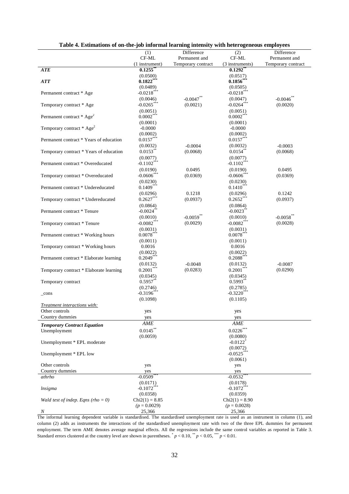| Table 4. Esumations of on-the-job informal learning intensity with neterogeneous employees |                          |                         |                         |                    |
|--------------------------------------------------------------------------------------------|--------------------------|-------------------------|-------------------------|--------------------|
|                                                                                            | (1)                      | Difference              | (2)                     | Difference         |
|                                                                                            | CF-ML                    | Permanent and           | CF-ML                   | Permanent and      |
|                                                                                            | (1 instrument)           | Temporary contract      | (3 instruments)         | Temporary contract |
| ATE                                                                                        | 0.1255                   |                         | $0.1292$ <sup>*</sup>   |                    |
|                                                                                            | (0.0500)                 |                         | (0.0517)                |                    |
| <b>ATT</b>                                                                                 | $0.1822**$               |                         | $0.1856***$             |                    |
|                                                                                            | (0.0489)                 |                         | (0.0505)                |                    |
| Permanent contract * Age                                                                   | $-0.0218$ ***            |                         | $-0.0218***$            |                    |
|                                                                                            | (0.0046)                 | $-0.0047$ **            | (0.0047)                | $-0.0046$ **       |
| Temporary contract * Age                                                                   | $-0.0265$ ***            | (0.0021)                | $-0.0264$ ***           | (0.0020)           |
|                                                                                            |                          |                         |                         |                    |
|                                                                                            | (0.0051)<br>$0.0002***$  |                         | (0.0051)                |                    |
| Permanent contract * Age <sup>2</sup>                                                      |                          |                         | $0.0002***$             |                    |
|                                                                                            | (0.0001)                 |                         | (0.0001)                |                    |
| Temporary contract * Age <sup>2</sup>                                                      | $-0.0000$                |                         | $-0.0000$               |                    |
|                                                                                            | (0.0002)                 |                         | (0.0002)                |                    |
| Permanent contract * Years of education                                                    | $0.0157$ ***             |                         | $0.0157***$             |                    |
|                                                                                            | (0.0032)                 | $-0.0004$               | (0.0032)                | $-0.0003$          |
| Temporary contract * Years of education                                                    | $0.0153***$              | (0.0068)                | $0.0154$ **             | (0.0068)           |
|                                                                                            | (0.0077)                 |                         | (0.0077)                |                    |
| Permanent contract * Overeducated                                                          | $-0.1102$ <sup>***</sup> |                         | $-0.1102$ <sup>*</sup>  |                    |
|                                                                                            | (0.0190)                 | 0.0495                  | (0.0190)                | 0.0495             |
| Temporary contract * Overeducated                                                          | $-0.0606$ ***            | (0.0369)                | $-0.0606$ **            | (0.0369)           |
|                                                                                            | (0.0230)                 |                         | (0.0230)                |                    |
| Permanent contract * Undereducated                                                         | $0.1409***$              |                         | $0.1410***$             |                    |
|                                                                                            |                          |                         |                         |                    |
|                                                                                            | (0.0296)                 | 0.1218                  | (0.0296)                | 0.1242             |
| Temporary contract * Undereducated                                                         | $0.2627***$              | (0.0937)                | $0.2652***$             | (0.0937)           |
|                                                                                            | (0.0864)                 |                         | (0.0864)                |                    |
| Permanent contract * Tenure                                                                | $-0.0024$                |                         | $-0.0023$ <sup>**</sup> |                    |
|                                                                                            | (0.0010)                 | $-0.0059$ <sup>**</sup> | (0.0010)                | $-0.0058$ **       |
| Temporary contract * Tenure                                                                | $-0.0082***$             | (0.0029)                | $-0.0082***$            | (0.0028)           |
|                                                                                            | (0.0031)                 |                         | (0.0031)                |                    |
| Permanent contract * Working hours                                                         | $0.0078***$              |                         | $0.0078***$             |                    |
|                                                                                            | (0.0011)                 |                         | (0.0011)                |                    |
| Temporary contract * Working hours                                                         | 0.0016                   |                         | 0.0016                  |                    |
|                                                                                            | (0.0022)                 |                         | (0.0022)                |                    |
| Permanent contract * Elaborate learning                                                    | $0.2049***$              |                         | $0.2088$ *              |                    |
|                                                                                            | (0.0132)                 | $-0.0048$               | (0.0132)                | $-0.0087$          |
| Temporary contract * Elaborate learning                                                    | $0.2001***$              | (0.0283)                | $0.2001***$             | (0.0290)           |
|                                                                                            |                          |                         |                         |                    |
|                                                                                            | (0.0345)<br>$0.5957**$   |                         | (0.0345)                |                    |
| Temporary contract                                                                         |                          |                         | 0.5993                  |                    |
|                                                                                            | (0.2746)                 |                         | (0.2785)                |                    |
| $_{\rm cons}$                                                                              | $-0.3196$ **             |                         | $-0.3220$ ***           |                    |
|                                                                                            | (0.1098)                 |                         | (0.1105)                |                    |
| Treatment interactions with:                                                               |                          |                         |                         |                    |
| Other controls                                                                             | yes                      |                         | yes                     |                    |
| Country dummies                                                                            | yes                      |                         | yes                     |                    |
| <b>Temporary Contract Equation</b>                                                         | AME                      |                         | AME                     |                    |
| Unemployment                                                                               | $0.0145***$              |                         | $0.0226***$             |                    |
|                                                                                            | (0.0059)                 |                         | (0.0080)                |                    |
|                                                                                            |                          |                         | $-0.0122$ <sup>*</sup>  |                    |
| Unemployment * EPL moderate                                                                |                          |                         |                         |                    |
|                                                                                            |                          |                         | (0.0072)                |                    |
| Unemployment * EPL low                                                                     |                          |                         | $-0.0525$               |                    |
|                                                                                            |                          |                         | (0.0061)                |                    |
| Other controls                                                                             | yes                      |                         | yes                     |                    |
| Country dummies                                                                            | yes                      |                         | yes                     |                    |
| athrho                                                                                     | $-0.0509$ <sup>*</sup>   |                         | $-0.0532$               |                    |
|                                                                                            | (0.0171)                 |                         | (0.0178)                |                    |
| lnsigma                                                                                    | $-0.1072$ *              |                         | $-0.1072$               |                    |
|                                                                                            | (0.0358)                 |                         | (0.0359)                |                    |
| Wald test of indep. Eqns (rho = 0)                                                         | $Chi2(1) = 8.85$         |                         | $Chi2(1) = 8.90$        |                    |
|                                                                                            | $(p = 0.0029)$           |                         | $(p = 0.0028)$          |                    |
| N                                                                                          | 25,366                   |                         | 25,366                  |                    |

The informal learning dependent variable is standardised. The standardised unemployment rate is used as an instrument in column (1), and column (2) adds as instruments the interactions of the standardised unemployment rate with two of the three EPL dummies for permanent employment. The term AME denotes average marginal effects. All the regressions include the same control variables as reported in Table 3. Standard errors clustered at the country level are shown in parentheses.  $p < 0.10$ ,  $\binom{m}{p} < 0.05$ ,  $\binom{m}{p} < 0.01$ .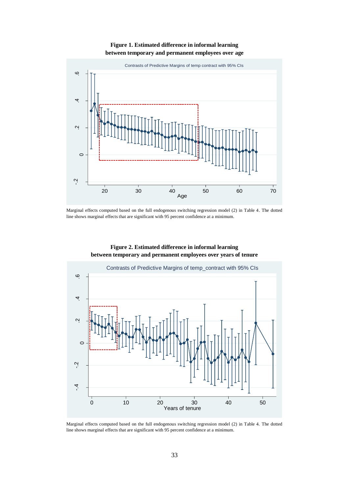#### **Figure 1. Estimated difference in informal learning between temporary and permanent employees over age**



Marginal effects computed based on the full endogenous switching regression model (2) in Table 4. The dotted line shows marginal effects that are significant with 95 percent confidence at a minimum.



**Figure 2. Estimated difference in informal learning between temporary and permanent employees over years of tenure** 

Marginal effects computed based on the full endogenous switching regression model (2) in Table 4. The dotted line shows marginal effects that are significant with 95 percent confidence at a minimum.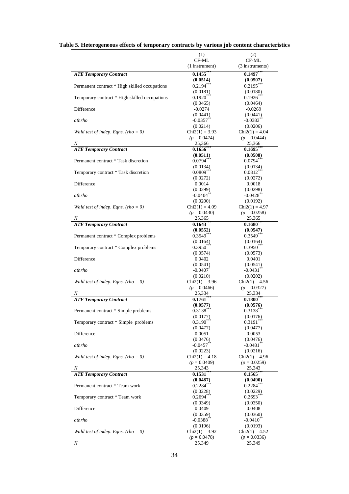|                                               | (1)                                 | (2)                                |
|-----------------------------------------------|-------------------------------------|------------------------------------|
|                                               | CF-ML                               | CF-ML                              |
|                                               | (1 instrument)                      | (3 instruments)                    |
| <b>ATE Temporary Contract</b>                 | 0.1455                              | $0.1497***$                        |
| Permanent contract * High skilled occupations | (0.0514)<br>$0.2194***$             | (0.0507)<br>$0.2195***$            |
|                                               | (0.0181)                            | (0.0180)                           |
| Temporary contract * High skilled occupations | 0.1920                              | $0.1926^{*}$                       |
|                                               | (0.0465)                            | (0.0464)                           |
| Difference                                    | $-0.0274$                           | $-0.0269$                          |
|                                               | (0.0441)                            | (0.0441)                           |
| athrho                                        | $-0.0357$                           | $-0.0383$ <sup>*</sup>             |
|                                               | (0.0214)                            | (0.0206)                           |
| Wald test of indep. Eqns. (rho = 0)           | $Chi2(1) = 3.93$                    | $Chi2(1) = 4.04$                   |
|                                               | $(p = 0.0474)$                      | $(p = 0.0444)$                     |
| Ν                                             | 25,366                              | 25,366                             |
| <b>ATE Temporary Contract</b>                 | 0.1656                              | 0.1695                             |
|                                               | (0.0511)                            | (0.0508)                           |
| Permanent contract * Task discretion          | $0.0794$ **                         | $0.0794$ <sup>**</sup>             |
|                                               | (0.0134)                            | (0.0134)                           |
| Temporary contract * Task discretion          | $0.0809***$                         | $0.0812***$                        |
|                                               | (0.0272)                            | (0.0272)                           |
| Difference                                    | 0.0014                              | 0.0018                             |
| athrho                                        | (0.0299)<br>$-0.0404$ <sup>**</sup> | (0.0298)<br>$-0.0428$ <sup>*</sup> |
|                                               | (0.0200)                            | (0.0192)                           |
| Wald test of indep. Eqns. (rho = 0)           | $Chi2(1) = 4.09$                    | $Chi2(1) = 4.97$                   |
|                                               | $(p = 0.0430)$                      | $(p = 0.0258)$                     |
|                                               | 25,365                              | 25,365                             |
| <b>ATE Temporary Contract</b>                 | 0.1643                              | $0.1680^{\degree}$                 |
|                                               | (0.0552)                            | (0.0547)                           |
| Permanent contract * Complex problems         | $0.3549***$                         | $0.3549***$                        |
|                                               | (0.0164)                            | (0.0164)                           |
| Temporary contract * Complex problems         | $0.3950$ <sup>**</sup>              | $0.3950$ **                        |
|                                               | (0.0574)                            | (0.0573)                           |
| Difference                                    | 0.0402                              | 0.0401                             |
|                                               | (0.0541)                            | (0.0541)                           |
| athrho                                        | $-0.0407$                           | $-0.0431**$                        |
|                                               | (0.0210)                            | (0.0202)                           |
| Wald test of indep. Eqns. (rho = 0)           | $Chi2(1) = 3.96$                    | $Chi2(1) = 4.56$                   |
|                                               | $(p = 0.0466)$                      | $(p = 0.0327)$                     |
| Ν                                             | 25,334                              | 25,334                             |
| <b>ATE Temporary Contract</b>                 | 0.1761                              | $0.1800^{\degree}$                 |
|                                               | (0.0577)                            | (0.0576)                           |
| Permanent contract * Simple problems          | $0.3138***$                         | $0.3138***$                        |
|                                               | (0.0177)<br>$0.3190***$             | (0.0176)<br>$0.3191***$            |
| Temporary contract * Simple problems          | (0.0477)                            |                                    |
| Difference                                    | 0.0051                              | (0.0477)<br>0.0053                 |
|                                               | (0.0476)                            | (0.0476)                           |
| athrho                                        | $-0.0457$ **                        | $-0.0481$ **                       |
|                                               | (0.0223)                            | (0.0216)                           |
| Wald test of indep. Eqns. (rho = 0)           | $Chi2(1) = 4.18$                    | $Chi2(1) = 4.96$                   |
|                                               | $(p = 0.0409)$                      | $(p = 0.0259)$                     |
| Ν                                             | 25,343                              | 25,343                             |
| <b>ATE Temporary Contract</b>                 | 0.1531                              | 0.1565                             |
|                                               | (0.0487)                            | (0.0490)                           |
| Permanent contract * Team work                | 0.2284                              | $0.2284$ **                        |
|                                               | (0.0228)                            | (0.0229)                           |
| Temporary contract * Team work                | 0.2694                              | $0.2693***$                        |
|                                               | (0.0349)                            | (0.0350)                           |
| Difference                                    | 0.0409                              | 0.0408                             |
|                                               | (0.0359)                            | (0.0360)                           |
| athrho                                        | $-0.0388$ **                        | $-0.0410^{**}$                     |
|                                               | (0.0196)                            | (0.0193)                           |
| Wald test of indep. Eqns. (rho = 0)           | $Chi2(1) = 3.92$                    | $Chi2(1) = 4.52$                   |
|                                               | $(p = 0.0478)$                      | $(p = 0.0336)$                     |
| Ν                                             | 25,349                              | 25,349                             |

|  |  |  |  | Table 5. Heterogeneous effects of temporary contracts by various job content characteristics |
|--|--|--|--|----------------------------------------------------------------------------------------------|
|  |  |  |  |                                                                                              |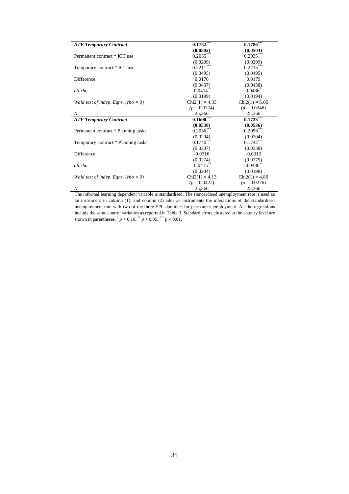| <b>ATE Temporary Contract</b>       | 0.1752                  | 0.1786                   |
|-------------------------------------|-------------------------|--------------------------|
|                                     | (0.0502)                | (0.0503)                 |
| Permanent contract * ICT use        | $0.2035***$             | $0.2035***$              |
|                                     | (0.0209)                | (0.0209)                 |
| Temporary contract * ICT use        | $0.2211***$             | $0.2215***$              |
|                                     | (0.0495)                | (0.0495)                 |
| Difference                          | 0.0176                  | 0.0179                   |
|                                     | (0.0437)                | (0.0438)                 |
| athrho                              | $-0.0414$ <sup>**</sup> | $-0.0436$ **             |
|                                     | (0.0199)                | (0.0194)                 |
| Wald test of indep. Eqns. (rho = 0) | $Chi2(1) = 4.33$        | $Chi2(1) = 5.05$         |
|                                     | $(p = 0.0374)$          | $(p = 0.0246)$           |
| N                                   | 25,366                  | 25,366                   |
|                                     |                         |                          |
| <b>ATE Temporary Contract</b>       | $0.1690***$             | $0.1723***$              |
|                                     | (0.0538)                | (0.0536)                 |
| Permanent contract * Planning tasks | 0.2056                  |                          |
|                                     | (0.0204)                | $0.2056$ ***<br>(0.0204) |
| Temporary contract * Planning tasks |                         | $0.1742***$              |
|                                     | $0.1740***$<br>(0.0337) | (0.0338)                 |
| Difference                          | $-0.0316$               | $-0.0313$                |
|                                     | (0.0274)                | (0.0275)                 |
| athrho                              | $-0.0415**$             | $-0.0436$ <sup>*</sup>   |
|                                     | (0.0204)                | (0.0198)                 |
| Wald test of indep. Eqns. (rho = 0) | $Chi2(1) = 4.13$        | $Chi2(1) = 4.86$         |
|                                     | $(p = 0.0422)$          | $(p = 0.0276)$           |

The informal learning dependent variable is standardised. The standardised unemployment rate is used as an instrument in column (1), and column (2) adds as instruments the interactions of the standardised unemployment rate with two of the three EPL dummies for permanent employment. All the regressions include the same control variables as reported in Table 3. Standard errors clustered at the country level are shown in parentheses.  $^{*}p < 0.10, ^{**}p < 0.05, ^{***}p < 0.01$ .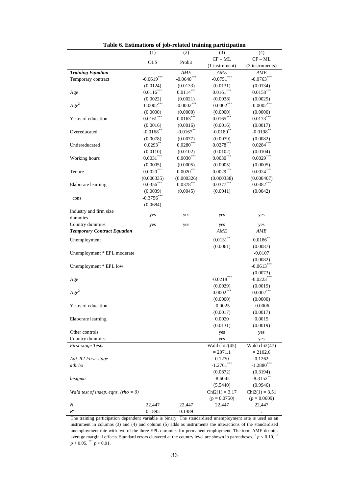|                                     | (1)           | (2)           | (3)              | (4)                     |
|-------------------------------------|---------------|---------------|------------------|-------------------------|
|                                     |               |               | $CF - ML$        | $CF - ML$               |
|                                     | <b>OLS</b>    | Probit        | (1 instrument)   | (3 instruments)         |
| <b>Training Equation</b>            |               | <b>AME</b>    | AME              | AME                     |
| Temporary contract                  | $-0.0619***$  | $-0.0648$ *** | $-0.0751***$     | $-0.0763***$            |
|                                     | (0.0124)      | (0.0133)      | (0.0131)         | (0.0134)                |
| Age                                 | $0.0116***$   | $0.0114***$   | $0.0161***$      | $0.0158***$             |
|                                     | (0.0022)      | (0.0021)      | (0.0038)         | (0.0029)                |
| Age <sup>2</sup>                    | $-0.0002***$  | $-0.0002***$  | $-0.0002***$     | $-0.0002***$            |
|                                     | (0.0000)      | (0.0000)      | (0.0000)         | (0.0000)                |
| Years of education                  | $0.0161***$   | $0.0163***$   | $0.0165***$      | $0.0173***$             |
|                                     | (0.0016)      | (0.0016)      | (0.0016)         | (0.0017)                |
| Overeducated                        | $-0.0168$ **  | $-0.0167**$   | $-0.0180$ **     | $-0.0198$ **            |
|                                     | (0.0078)      | (0.0077)      | (0.0079)         | (0.0082)                |
| Undereducated                       | $0.0293**$    | $0.0280***$   | $0.0278***$      | $0.0284***$             |
|                                     | (0.0110)      | (0.0102)      | (0.0102)         | (0.0104)                |
| Working hours                       | $0.0031***$   | $0.0030***$   | $0.0030***$      | $0.0029***$             |
|                                     | (0.0005)      | (0.0005)      | (0.0005)         | (0.0005)                |
| Tenure                              | $0.0020***$   | $0.0020***$   | $0.0029***$      | $0.0024***$             |
|                                     | (0.000335)    | (0.000326)    | (0.000338)       | (0.000407)              |
| Elaborate learning                  | $0.0356***$   | $0.0378***$   | $0.0377***$      | $0.0382***$             |
|                                     | (0.0039)      | (0.0045)      | (0.0041)         | (0.0042)                |
| _cons                               | $-0.3756$ *** |               |                  |                         |
|                                     | (0.0684)      |               |                  |                         |
| Industry and firm size              |               |               |                  |                         |
| dummies                             | yes           | yes           | yes              | yes                     |
| Country dummies                     | yes           | yes           | yes              | yes                     |
| <b>Temporary Contract Equation</b>  |               |               | AME              | AME                     |
| Unemployment                        |               |               | $0.0131***$      | $0.0186**$              |
|                                     |               |               | (0.0061)         | (0.0087)                |
| Unemployment * EPL moderate         |               |               |                  | $-0.0107$               |
|                                     |               |               |                  | (0.0082)                |
| Unemployment * EPL low              |               |               |                  | $-0.0613***$            |
|                                     |               |               |                  | (0.0073)                |
| Age                                 |               |               | $-0.0218***$     | $-0.0223***$            |
|                                     |               |               | (0.0029)         | (0.0019)                |
| Age <sup>2</sup>                    |               |               | $0.0002***$      | $0.0002***$             |
|                                     |               |               | (0.0000)         | (0.0000)                |
| Years of education                  |               |               | $-0.0025$        | $-0.0006$               |
|                                     |               |               | (0.0017)         | (0.0017)                |
| Elaborate learning                  |               |               | 0.0020           | 0.0015                  |
|                                     |               |               | (0.0131)         | (0.0019)                |
| Other controls                      |               |               | yes              | yes                     |
| Country dummies                     |               |               | yes              | yes                     |
| <b>First-stage Tests</b>            |               |               | Wald $chi2(45)$  | Wald chi2(47)           |
|                                     |               |               | $= 2071.1$       | $= 2102.6$              |
| Adj. R2 First-stage                 |               |               | 0.1230           | 0.1262                  |
| athrho                              |               |               | $-1.2761$        | $-1.2880$ <sup>*</sup>  |
|                                     |               |               | (0.0872)         | (0.3194)                |
| <i>Insigma</i>                      |               |               | $-8.6042$        | $-8.3152$ <sup>**</sup> |
|                                     |               |               | (5.5440)         | (0.9946)                |
| Wald test of indep. eqns. (rho = 0) |               |               | $Chi2(1) = 3.17$ | $Chi2(1) = 3.51$        |
|                                     |               |               | $(p = 0.0750)$   | $(p = 0.0609)$          |
| Ν                                   | 22,447        | 22,447        | 22,447           | 22,447                  |
| $R^2$                               | 0.1895        | 0.1489        |                  |                         |

**Table 6. Estimations of job-related training participation** 

The training participation dependent variable is binary. The standardised unemployment rate is used as an instrument in columns (3) and (4) and column (5) adds as instruments the interactions of the standardised unemployment rate with two of the three EPL dummies for permanent employment. The term AME denotes average marginal effects. Standard errors clustered at the country level are shown in parentheses.  $p < 0.10$ ,  $p_{\text{max}}$  $p < 0.05$ ,  $\stackrel{***}{p} < 0.01$ .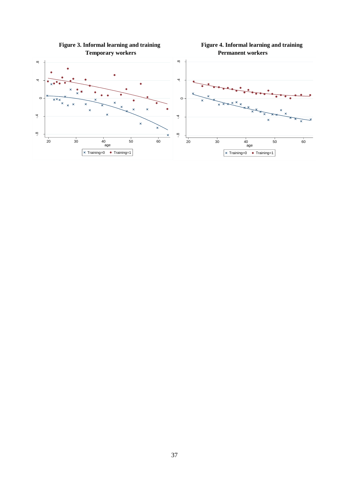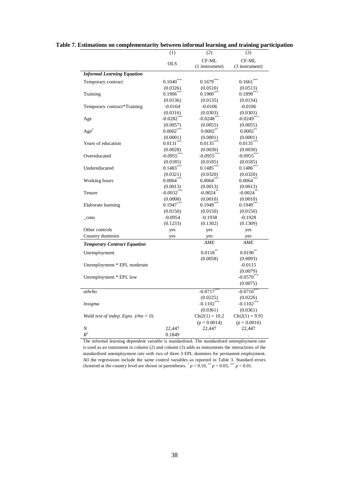|                                     | (1)                      | (2)                       | (3)                       |
|-------------------------------------|--------------------------|---------------------------|---------------------------|
|                                     |                          | CF-ML                     | CF-ML                     |
|                                     | <b>OLS</b>               | (1 instrument)            | (3 instrument)            |
| <b>Informal Learning Equation</b>   |                          |                           |                           |
| Temporary contract                  | $0.1040$ <sup>**</sup>   | $0.1679$ <sup>**</sup>    | $0.1661$ <sup>*</sup>     |
|                                     | (0.0326)                 | (0.0510)                  | (0.0513)                  |
| Training                            | $0.1906***$              | $0.1900***$               | $0.1899***$               |
|                                     | (0.0136)                 | (0.0135)                  | (0.0134)                  |
| Temporary contract*Training         | $-0.0164$                | $-0.0106$                 | $-0.0106$                 |
|                                     |                          |                           |                           |
|                                     | (0.0316)<br>$-0.0282***$ | (0.0303)<br>$-0.0248$ *** | (0.0303)<br>$-0.0249$ *** |
| Age                                 |                          |                           |                           |
|                                     | (0.0057)                 | (0.0055)                  | (0.0055)                  |
| Age <sup>2</sup>                    | $0.0002***$              | 0.0002                    | 0.0002                    |
|                                     | (0.0001)                 | (0.0001)                  | (0.0001)                  |
| Years of education                  | $0.0131***$              | $0.0135***$               | $0.0135$ *                |
|                                     | (0.0028)                 | (0.0030)                  | (0.0030)                  |
| Overeducated                        | $-0.0955***$             | $-0.0955***$              | $-0.0955***$              |
|                                     | (0.0185)                 | (0.0185)                  | (0.0185)                  |
| Undereducated                       | $0.1483***$              | $0.1485$ <sup>***</sup>   | $0.1486$ <sup>***</sup>   |
|                                     | (0.0321)                 | (0.0320)                  | (0.0320)                  |
| Working hours                       | $0.0064***$              | $0.0064***$               | $0.0064***$               |
|                                     | (0.0013)                 | (0.0013)                  | (0.0013)                  |
| Tenure                              | $-0.0032***$             | $-0.0024$ **              | $-0.0024$ **              |
|                                     | (0.0008)                 | (0.0010)                  | (0.0010)                  |
| Elaborate learning                  | $0.1947***$              | $0.1949***$               | $0.1949***$               |
|                                     | (0.0150)                 | (0.0150)                  | (0.0150)                  |
|                                     |                          |                           |                           |
| $_{\rm cons}$                       | $-0.0954$                | $-0.1938$                 | $-0.1928$                 |
|                                     | (0.1233)                 | (0.1302)                  | (0.1309)                  |
| Other controls                      | yes                      | yes                       | yes                       |
| Country dummies                     | yes                      | yes<br>AME                | yes<br>AME                |
| <b>Temporary Contract Equation</b>  |                          |                           |                           |
| Unemployment                        |                          | $0.0118***$               | $0.0190**$                |
|                                     |                          | (0.0058)                  | (0.0093)                  |
| Unemployment * EPL moderate         |                          |                           | $-0.0115$                 |
|                                     |                          |                           | (0.0079)                  |
| Unemployment * EPL low              |                          |                           | $-0.0570***$              |
|                                     |                          |                           | (0.0075)                  |
| athrho                              |                          | $-0.0717$                 | $-0.0710$                 |
|                                     |                          | (0.0225)                  |                           |
|                                     |                          | $-0.1102***$              | (0.0226)<br>$-0.1102***$  |
| lnsigma                             |                          |                           |                           |
|                                     |                          | (0.0361)                  | (0.0361)                  |
| Wald test of indep. Eqns. (rho = 0) |                          | $Chi2(1) = 10.2$          | $Chi2(1) = 9.91$          |
|                                     |                          | $(p = 0.0014)$            | $(p = 0.0016)$            |
| Ν                                   | 22,447                   | 22,447                    | 22,447                    |
| $\boldsymbol{R}^2$                  | 0.1849                   |                           |                           |

The informal learning dependent variable is standardised. The standardised unemployment rate is used as an instrument in column (2) and column (3) adds as instruments the interactions of the standardised unemployment rate with two of three 3 EPL dummies for permanent employment. All the regressions include the same control variables as reported in Table 3. Standard errors clustered at the country level are shown in parentheses.  $p < 0.10$ ,  $p < 0.05$ ,  $p < 0.01$ .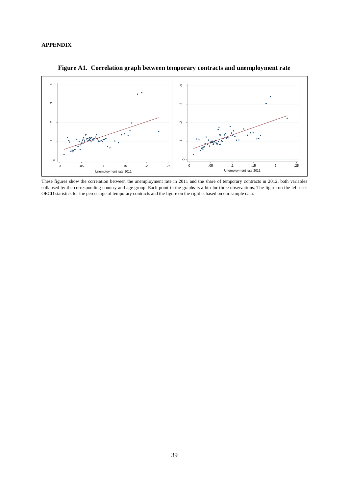#### **APPENDIX**



**Figure A1. Correlation graph between temporary contracts and unemployment rate**

These figures show the correlation between the unemployment rate in 2011 and the share of temporary contracts in 2012, both variables collapsed by the corresponding country and age group. Each point in the graphs is a bin for three observations. The figure on the left uses OECD statistics for the percentage of temporary contracts and the figure on the right is based on our sample data.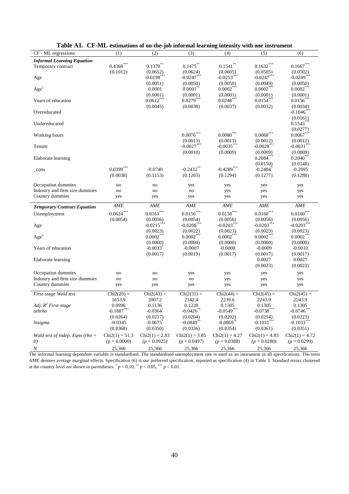| CF - ML regressions                | (1)                      | (2)                      | (3)                      | (4)                      | (5)                      | (6)                               |
|------------------------------------|--------------------------|--------------------------|--------------------------|--------------------------|--------------------------|-----------------------------------|
| <b>Informal Learning Equation</b>  |                          |                          |                          |                          |                          |                                   |
| Temporary contract                 | $0.4368***$              | $0.1370***$              | $0.1475***$              | $0.1541$ **              | $0.1632***$              | $0.1667***$                       |
|                                    | (0.1012)                 | (0.0652)                 | (0.0624)                 | (0.0605)                 | (0.0505)                 | (0.0502)                          |
| Age                                |                          | $-0.0198$ <sup>*</sup>   | $-0.0247$                | $-0.0253$ <sup>*</sup>   | $-0.0247$                | $-0.0249$                         |
|                                    |                          | (0.0051)                 | (0.0050)                 | (0.0050)                 | (0.0049)                 | (0.0050)                          |
| Age <sup>2</sup>                   |                          | 0.0001                   | 0.0001                   | 0.0002                   | 0.0002                   | $0.0002^*$                        |
|                                    |                          | (0.0001)                 | (0.0001)                 | (0.0001)                 | (0.0001)                 | (0.0001)                          |
| Years of education                 |                          | $0.0612***$              | $0.0279***$              | 0.0248                   | $0.0154***$              | 0.0156                            |
|                                    |                          | (0.0045)                 | (0.0038)                 | (0.0037)                 | (0.0032)                 | (0.0034)                          |
| Overeducated                       |                          |                          |                          |                          |                          | $-0.1046$ ***                     |
|                                    |                          |                          |                          |                          |                          |                                   |
| Undereducated                      |                          |                          |                          |                          |                          | (0.0161)<br>$0.1543$ <sup>*</sup> |
|                                    |                          |                          |                          |                          |                          |                                   |
|                                    |                          |                          |                          |                          |                          | (0.0277)                          |
| Working hours                      |                          |                          | $0.0076$ **              | $0.0080***$              | $0.0068^\mathrm{***}$    | 0.0067                            |
|                                    |                          |                          | (0.0013)                 | (0.0013)                 | (0.0012)                 | (0.0012)                          |
| Tenure                             |                          |                          | $-0.0027$                | $-0.0035$ <sup>**</sup>  | $-0.0028$ $^{**}$        | $-0.0031$ $\degree$               |
|                                    |                          |                          | (0.0010)                 | (0.0009)                 | (0.0009)                 | (0.0009)                          |
| Elaborate learning                 |                          |                          |                          |                          | $0.2084^{\degree}$       | 0.2040                            |
|                                    |                          |                          |                          |                          | (0.0150)                 | (0.0148)                          |
| $_{\rm cons}$                      | $0.0399***$              | $-0.0740$                | $-0.2432$ **             | $-0.4289$ ***            | $-0.2484$                | $-0.2095$                         |
|                                    | (0.0038)                 | (0.1153)                 | (0.1203)                 | (0.1294)                 | (0.1277)                 | (0.1288)                          |
|                                    |                          |                          |                          |                          |                          |                                   |
| Occupation dummies                 | no                       | no                       | yes                      | yes                      | yes                      | yes                               |
| Industry and firm size dummies     | no                       | no                       | no                       | yes                      | yes                      | yes                               |
| Country dummies                    | yes                      | yes                      | yes                      | yes                      | yes                      | yes                               |
|                                    |                          |                          |                          |                          |                          |                                   |
|                                    | AME                      | AME                      | AME                      | AME                      | AME                      | AME                               |
| <b>Temporary Contract Equation</b> |                          |                          |                          |                          |                          |                                   |
| Unemployment                       | $0.0624***$              | $0.0161^{\ast\ast\ast}$  | $0.0156***$              | $0.0158^{***}$           | $0.0160***$              | $0.0160***$                       |
|                                    | (0.0054)                 | (0.0056)                 | (0.0054)                 | (0.0056)                 | (0.0056)                 | (0.0056)                          |
| Age                                |                          | $-0.0215$                | $-0.0208$                | $-0.0203$                | $-0.0203$                | $-0.0203$ <sup>*</sup>            |
|                                    |                          | (0.0023)                 | (0.0022)                 | (0.0023)                 | (0.0023)                 | (0.0023)                          |
| Age <sup>2</sup>                   |                          | $0.0002^{\degree}$       | $0.0002$ <sup>*</sup>    | 0.0002                   | 0.0002                   | 0.0002                            |
|                                    |                          | (0.0000)                 | (0.0000)                 | (0.0000)                 | (0.0000)                 | (0.0000)                          |
| Years of education                 |                          | $-0.0033$                | $-0.0007$                | $-0.0008$                | $-0.0009$                | $-0.0010$                         |
|                                    |                          | (0.0017)                 | (0.0019)                 | (0.0017)                 | (0.0017)                 | (0.0017)                          |
| Elaborate learning                 |                          |                          |                          |                          | 0.0027                   | 0.0027                            |
|                                    |                          |                          |                          |                          | (0.0023)                 | (0.0023)                          |
|                                    | no                       | no                       |                          |                          |                          |                                   |
| Occupation dummies                 |                          |                          | yes                      | yes                      | yes                      | yes                               |
| Industry and firm size dummies     | no                       | no                       | no                       | yes                      | yes                      | yes                               |
| Country dummies                    | yes                      | yes                      | yes                      | yes                      | yes                      | yes                               |
| First-stage Wald test              | $Chi2(20) =$             | $Chi2(43) =$             | $Chi2(31) =$             | $Chi2(44) =$             | $Chi2(45) =$             | $Chi2(45) =$                      |
|                                    | 1653.9                   | 2007.2                   | 2142.4                   | 2239.6                   | 2243.9                   | 2243.9                            |
| Adj. $R^2$ First-stage             | 0.0996                   | 0.1136                   | 0.1228                   | 0.1305                   | 0.1305                   | 0.1305                            |
| athrho                             | $-0.1887$                | $-0.0364$ <sup>*</sup>   | $-0.0426$                | $-0.0549$ ***            | $-0.0738***$             | $-0.0746$                         |
|                                    | (0.0264)                 | (0.0217)                 | (0.0204)                 | (0.0202)                 | (0.0254)                 | (0.0223)                          |
| lnsigma                            | $-0.0345$                | $-0.0675$                | $-0.0849$ <sup>*</sup>   | $-0.0869$ <sup>*</sup>   | $-0.1031$                | $-0.1033$ <sup>*</sup>            |
|                                    | (0.0368)                 | (0.0350)                 | (0.0356)                 | (0.0354)                 | (0.0361)                 | (0.0351)                          |
|                                    |                          |                          |                          |                          |                          |                                   |
| Wald test of indep. Eqns (rho $=$  | $Chi2(1) = 51.3$         | $Chi2(1) = 2.83$         | $Chi2(1) = 3.85$         | $Chi2(1) = 4.27$         | $Chi2(1) = 4.83$         | $Chi2(1) = 4.72$                  |
| $\left( 0\right)$<br>N             | $(p = 0.0000)$<br>25,366 | $(p = 0.0925)$<br>25,366 | $(p = 0.0497)$<br>25,366 | $(p = 0.0388)$<br>25,366 | $(p = 0.0280)$<br>25,366 | $(p = 0.0299)$<br>25,366          |

| Table A1. CF-ML estimations of on-the-job informal learning intensity with one instrument |  |  |  |  |  |  |  |  |
|-------------------------------------------------------------------------------------------|--|--|--|--|--|--|--|--|
|-------------------------------------------------------------------------------------------|--|--|--|--|--|--|--|--|

The informal learning dependent variable is standardised. The standardised unemployment rate is used as an instrument in all specifications. The term AME denotes average marginal effects. Specification (6) is our preferred specification, reported as specification (4) in Table 3. Standard errors clustered at the country level are shown in parentheses.  $p < 0.10$ ,  $p < 0.05$ ,  $p < 0.01$ .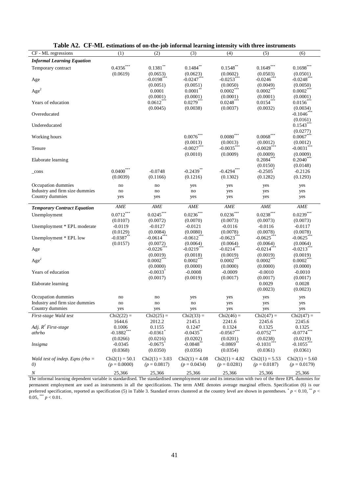| CF - ML regressions                | (1)              | (2)                    | (3)              | (4)                    | (5)                | (6)                   |
|------------------------------------|------------------|------------------------|------------------|------------------------|--------------------|-----------------------|
| <b>Informal Learning Equation</b>  |                  |                        |                  |                        |                    |                       |
| Temporary contract                 | $0.4356***$      | $0.1381$ **            | 0.1484           | $0.1548$ **            | $0.1649***$        | $0.1698***$           |
|                                    | (0.0619)         | (0.0653)               | (0.0623)         | (0.0602)               | (0.0503)           | (0.0501)              |
| Age                                |                  | $-0.0198$ **           | $-0.0247***$     | $-0.0253$              | $-0.0246$          | $-0.0248$ **          |
|                                    |                  | (0.0051)               | (0.0051)         | (0.0050)               | (0.0049)           | (0.0050)              |
| Age <sup>2</sup>                   |                  | 0.0001                 | $0.0001**$       | $0.0002***$            | $0.0002***$        | $0.0002***$           |
|                                    |                  | (0.0001)               | (0.0001)         | (0.0001)               | (0.0001)           | (0.0001)              |
| Years of education                 |                  | 0.0612                 | $0.0279**$       | 0.0248                 | 0.0154             | 0.0156                |
| Overeducated                       |                  | (0.0045)               | (0.0038)         | (0.0037)               | (0.0032)           | (0.0034)<br>$-0.1046$ |
|                                    |                  |                        |                  |                        |                    | (0.0161)              |
| Undereducated                      |                  |                        |                  |                        |                    | 0.1543                |
|                                    |                  |                        |                  |                        |                    | (0.0277)              |
| Working hours                      |                  |                        | $0.0076***$      | $0.0080^\mathrm{***}$  | $0.0068***$        | $0.0067***$           |
|                                    |                  |                        | (0.0013)         | (0.0013)               | (0.0012)           | (0.0012)              |
| Tenure                             |                  |                        | $-0.0027$ **     | $-0.0035$ <sup>*</sup> | $-0.0028$          | $-0.0031$ *           |
|                                    |                  |                        | (0.0010)         | (0.0009)               | (0.0009)           | (0.0009)              |
| Elaborate learning                 |                  |                        |                  |                        | $0.2084***$        | $0.2040***$           |
|                                    |                  |                        |                  |                        | (0.0150)           | (0.0148)              |
| $_{\rm cons}$                      | $0.0400***$      | $-0.0748$              | $-0.2439**$      | $-0.4294***$           | $-0.2505$          | $-0.2126$             |
|                                    | (0.0039)         | (0.1166)               | (0.1216)         | (0.1302)               | (0.1282)           | (0.1293)              |
| Occupation dummies                 | no               | no                     | yes              | yes                    | yes                | yes                   |
| Industry and firm size dummies     | no               | no                     | no               | yes                    | yes                | yes                   |
| Country dummies                    | yes              | yes                    | yes              | yes                    | yes                | yes                   |
| <b>Temporary Contract Equation</b> | AME              | AME                    | AME              | AME                    | <b>AME</b>         | AME                   |
| Unemployment                       | $0.0712***$      | $0.0245***$            | $0.0236***$      | $0.0236^{***}$         | $0.0238***$        | $0.0239***$           |
|                                    | (0.0107)         | (0.0072)               | (0.0070)         | (0.0073)               | (0.0073)           | (0.0073)              |
| Unemployment * EPL moderate        | $-0.0119$        | $-0.0127$              | $-0.0121$        | $-0.0116$              | $-0.0116$          | $-0.0117$             |
|                                    | (0.0129)         | (0.0084)               | (0.0080)         | (0.0078)               | (0.0078)           | (0.0078)              |
| Unemployment * EPL low             | $-0.0387$ **     | $-0.0614***$           | $-0.0612$ ***    | $-0.0623$ **           | $-0.0625***$       | $-0.0625$             |
|                                    | (0.0157)         | (0.0072)               | (0.0064)         | (0.0064)               | (0.0064)           | (0.0064)              |
| Age                                |                  | $-0.0226$ ***          | $-0.0219***$     | $-0.0214***$           | $-0.0214***$       | $-0.0213***$          |
|                                    |                  | (0.0019)               | (0.0018)         | (0.0019)               | (0.0019)           | (0.0019)              |
| Age <sup>2</sup>                   |                  | $0.0002***$            | $0.0002***$      | $0.0002**$             | $0.0002***$        | $0.0002***$           |
|                                    |                  | (0.0000)               | (0.0000)         | (0.0000)               | (0.0000)           | (0.0000)              |
| Years of education                 |                  | $-0.0033$              | $-0.0008$        | $-0.0009$              | $-0.0010$          | $-0.0010$             |
|                                    |                  | (0.0017)               | (0.0019)         | (0.0017)               | (0.0017)           | (0.0017)              |
| Elaborate learning                 |                  |                        |                  |                        | 0.0029<br>(0.0023) | 0.0028<br>(0.0023)    |
|                                    |                  |                        |                  |                        |                    |                       |
| Occupation dummies                 | no               | no                     | yes              | yes                    | yes                | yes                   |
| Industry and firm size dummies     | no               | no                     | no               | yes                    | yes                | yes                   |
| Country dummies                    | yes              | yes                    | yes              | yes                    | yes                | yes                   |
| First-stage Wald test              | $Chi2(22) =$     | $Chi2(25) =$           | $Chi2(33) =$     | $Chi2(46) =$           | $Chi2(47) =$       | $Chi2(47) =$          |
| Adj. $R^2$ First-stage             | 1644.6<br>0.1006 | 2012.2<br>0.1155       | 2145.1<br>0.1247 | 2241.6<br>0.1324       | 2245.6<br>0.1325   | 2245.6<br>0.1325      |
| athrho                             | $-0.1882$ ***    | $-0.0361$ <sup>*</sup> | $-0.0435$ **     | $-0.0567***$           | $-0.0752***$       | $-0.0774***$          |
|                                    | (0.0266)         | (0.0216)               | (0.0202)         | (0.0201)               | (0.0238)           | (0.0219)              |
| <i>Insigma</i>                     | $-0.0345$        | $-0.0675$              | $-0.0848$ **     | $-0.0869$ **           | $-0.1031***$       | $-0.1055***$          |
|                                    | (0.0368)         | (0.0350)               | (0.0356)         | (0.0354)               | (0.0361)           | (0.0361)              |
|                                    |                  |                        |                  |                        |                    |                       |
| Wald test of indep. Eqns (rho $=$  | $Chi2(1) = 50.1$ | $Chi2(1) = 3.03$       | $Chi2(1) = 4.08$ | $Chi2(1) = 4.82$       | $Chi2(1) = 5.53$   | $Chi2(1) = 5.60$      |
| 0)                                 | $(p = 0.0000)$   | $(p = 0.0817)$         | $(p = 0.0434)$   | $(p = 0.0281)$         | $(p = 0.0187)$     | $(p = 0.0179)$        |
| N                                  | 25,366           | 25,366                 | 25,366           | 25,366                 | 25,366             | 25,366                |

**Table A2. CF-ML estimations of on-the-job informal learning intensity with three instruments**

The informal learning dependent variable is standardised. The standardised unemployment rate and its interaction with two of the three EPL dummies for permanent employment are used as instruments in all the specifications. The term AME denotes average marginal effects. Specification (6) is our preferred specification, reported as specification (5) in Table 3. Standard errors clustered at the country level are shown in parentheses.  $\dot{p}$  < 0.10,  $\dot{p}$   $p$  <  $0.05$ ,  $\binom{***}{p}$  < 0.01.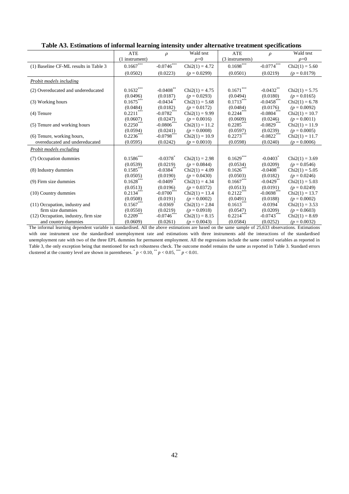|                                       | <b>ATE</b>               | $\rho$                   | Wald test        | <b>ATE</b>      | $\rho$                   | Wald test        |
|---------------------------------------|--------------------------|--------------------------|------------------|-----------------|--------------------------|------------------|
|                                       | (1 instrument)           |                          | $\rho = 0$       | (3 instruments) |                          | $\rho = 0$       |
| (1) Baseline CF-ML results in Table 3 | $0.1667***$              | $-0.0746$                | $Chi2(1) = 4.72$ | $0.1698^{***}$  | $-0.0774$                | $Chi2(1) = 5.60$ |
|                                       | (0.0502)                 | (0.0223)                 | $(p = 0.0299)$   | (0.0501)        | (0.0219)                 | $(p = 0.0179)$   |
| <b>Probit models including</b>        |                          |                          |                  |                 |                          |                  |
| (2) Overeducated and undereducated    | $0.1632^{***}$           | $-0.0408$ **             | $Chi2(1) = 4.75$ | $0.1671***$     | $-0.0432**$              | $Chi2(1) = 5.75$ |
|                                       | (0.0496)                 | (0.0187)                 | $(p = 0.0293)$   | (0.0494)        | (0.0180)                 | $(p = 0.0165)$   |
| (3) Working hours                     | $0.1675***$              | $-0.0434$ <sup>**</sup>  | $Chi2(1) = 5.68$ | $0.1713***$     | $-0.0458***$             | $Chi2(1) = 6.78$ |
|                                       | (0.0484)                 | (0.0182)                 | $(p = 0.0172)$   | (0.0484)        | (0.0176)                 | $(p = 0.0092)$   |
| $(4)$ Tenure                          | $0.2211***$              | $-0.0782$ ***            | $Chi2(1) = 9.99$ | $0.2244***$     | $-0.0804***$             | $Chi2(1) = 10.7$ |
|                                       | (0.0607)                 | (0.0247)                 | $(p = 0.0016)$   | (0.0609)        | (0.0246)                 | $(p = 0.0011)$   |
| (5) Tenure and working hours          | $0.2250***$              | $-0.0806$                | $Chi2(1) = 11.2$ | $0.2285***$     | $-0.0829$ <sup>***</sup> | $Chi2(1) = 11.9$ |
|                                       | (0.0594)                 | (0.0241)                 | $(p = 0.0008)$   | (0.0597)        | (0.0239)                 | $(p = 0.0005)$   |
| (6) Tenure, working hours,            | $0.2236***$              | $-0.0798$ ***            | $Chi2(1) = 10.9$ | $0.2273***$     | $-0.0822$ ***            | $Chi2(1) = 11.7$ |
| overeducated and undereducated        | (0.0595)                 | (0.0242)                 | $(p = 0.0010)$   | (0.0598)        | (0.0240)                 | $(p = 0.0006)$   |
| Probit models excluding               |                          |                          |                  |                 |                          |                  |
| (7) Occupation dummies                | $0.1586\overset{***}{ }$ | $-0.0378$ <sup>*</sup>   | $Chi2(1) = 2.98$ | $0.1629***$     | $-0.0403$ <sup>*</sup>   | $Chi2(1) = 3.69$ |
|                                       | (0.0539)                 | (0.0219)                 | $(p = 0.0844)$   | (0.0534)        | (0.0209)                 | $(p = 0.0546)$   |
| (8) Industry dummies                  | $0.1585***$              | $-0.0384$ <sup>*</sup>   | $Chi2(1) = 4.09$ | $0.1626***$     | $-0.0408$                | $Chi2(1) = 5.05$ |
|                                       | (0.0505)                 | (0.0190)                 | $(p = 0.0430)$   | (0.0503)        | (0.0182)                 | $(p = 0.0246)$   |
| (9) Firm size dummies                 | $0.1628***$              | $-0.0409$ <sup>**</sup>  | $Chi2(1) = 4.34$ | $0.1667***$     | $-0.0429$ <sup>**</sup>  | $Chi2(1) = 5.03$ |
|                                       | (0.0513)                 | (0.0196)                 | $(p = 0.0372)$   | (0.0513)        | (0.0191)                 | $(p = 0.0249)$   |
| (10) Country dummies                  | $0.2134***$              | $-0.0700$ <sup>***</sup> | $Chi2(1) = 13.4$ | $0.2122***$     | $-0.0698$ ***            | $Chi2(1) = 13.7$ |
|                                       | (0.0508)                 | (0.0191)                 | $(p = 0.0002)$   | (0.0491)        | (0.0188)                 | $(p = 0.0002)$   |
| (11) Occupation, industry and         | $0.1567***$              | $-0.0369$ <sup>*</sup>   | $Chi2(1) = 2.84$ | $0.1613***$     | $-0.0394$ <sup>*</sup>   | $Chi2(1) = 3.53$ |
| firm size dummies                     | (0.0550)                 | (0.0219)                 | $(p = 0.0918)$   | (0.0547)        | (0.0209)                 | $(p = 0.0603)$   |
| (12) Occupation, industry, firm size  | $0.2209***$              | $-0.0746$ <sup>***</sup> | $Chi2(1) = 8.15$ | $0.2214***$     | $-0.0743***$             | $Chi2(1) = 8.69$ |
| and country dummies                   | (0.0609)                 | (0.0261)                 | $(p = 0.0043)$   | (0.0584)        | (0.0252)                 | $(p = 0.0032)$   |

**Table A3. Estimations of informal learning intensity under alternative treatment specifications**

The informal learning dependent variable is standardised. All the above estimations are based on the same sample of 25,633 observations. Estimations with one instrument use the standardised unemployment rate and estimations with three instruments add the interactions of the standardised unemployment rate with two of the three EPL dummies for permanent employment. All the regressions include the same control variables as reported in Table 3, the only exception being that mentioned for each robustness check. The outcome model remains the same as reported in Table 3. Standard errors clustered at the country level are shown in parentheses.  $p < 0.10$ ,  $p < 0.05$ ,  $p < 0.01$ .